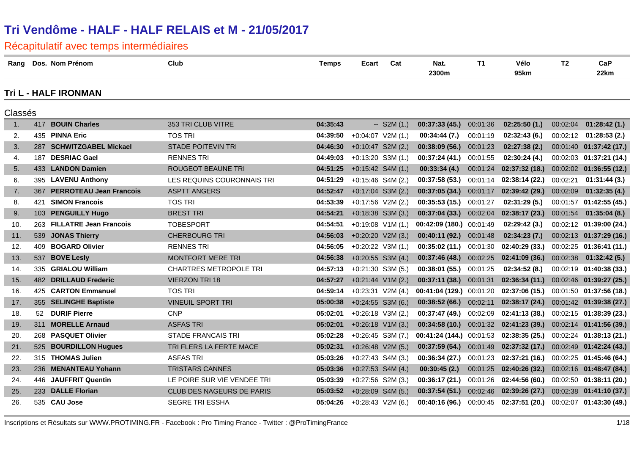| Rang           |     | Dos. Nom Prénom                | Club                          | <b>Temps</b> | Ecart               | Cat          | Nat.<br>2300m                  | <b>T1</b> | Vélo<br>95km                                | T <sub>2</sub> | CaP<br>22km               |
|----------------|-----|--------------------------------|-------------------------------|--------------|---------------------|--------------|--------------------------------|-----------|---------------------------------------------|----------------|---------------------------|
|                |     | <b>Tri L - HALF IRONMAN</b>    |                               |              |                     |              |                                |           |                                             |                |                           |
| Classés        |     |                                |                               |              |                     |              |                                |           |                                             |                |                           |
| 1 <sub>1</sub> | 417 | <b>BOUIN Charles</b>           | 353 TRI CLUB VITRE            | 04:35:43     |                     | $-$ S2M (1.) | 00:37:33(45)                   | 00:01:36  | 02:25:50(1.)                                | 00:02:04       | 01:28:42(1.)              |
| 2.             |     | 435 PINNA Eric                 | <b>TOS TRI</b>                | 04:39:50     | $+0:04:07$ V2M (1.) |              | 00:34:44(7.)                   | 00:01:19  | 02:32:43(6.)                                |                | $00:02:12$ 01:28:53 (2.)  |
| 3.             | 287 | <b>SCHWITZGABEL Mickael</b>    | <b>STADE POITEVIN TRI</b>     | 04:46:30     | $+0:10:47$ S2M (2.) |              | 00:38:09(56.)                  | 00:01:23  | 02:27:38(2.)                                |                | 00:01:40  01:37:42  (17.) |
| 4.             | 187 | <b>DESRIAC Gael</b>            | <b>RENNES TRI</b>             | 04:49:03     | $+0:13:20$ S3M (1.) |              | 00:37:24 (41.)                 | 00:01:55  | 02:30:24(4.)                                |                | 00:02:03 01:37:21 (14.)   |
| 5.             |     | 433 LANDON Damien              | ROUGEOT BEAUNE TRI            | 04:51:25     | $+0:15:42$ S4M (1.) |              | 00:33:34(4.)                   | 00:01:24  | 02:37:32(18)                                |                | 00:02:02  01:36:55 (12.)  |
| 6.             |     | 395 LAVENU Anthony             | LES REQUINS COURONNAIS TRI    | 04:51:29     | +0:15:46 S4M (2.)   |              | 00:37:58 (53.)                 | 00:01:14  | 02:38:14(22.)                               | 00:02:21       | 01:31:44(3.)              |
| 7.             | 367 | <b>PERROTEAU Jean Francois</b> | <b>ASPTT ANGERS</b>           | 04:52:47     | $+0:17:04$ S3M (2.) |              | 00:37:05(34)                   | 00:01:17  | 02:39:42(29.)                               | 00:02:09       | 01:32:35(4.)              |
| 8.             | 421 | <b>SIMON Francois</b>          | <b>TOS TRI</b>                | 04:53:39     | $+0:17:56$ V2M (2.) |              | 00:35:53(15.)                  | 00:01:27  | 02:31:29(5.)                                |                | 00:01:57  01:42:55  (45.) |
| 9.             | 103 | <b>PENGUILLY Hugo</b>          | <b>BREST TRI</b>              | 04:54:21     | $+0:18:38$ S3M (3.) |              | 00:37:04(33.)                  | 00:02:04  | 02:38:17 (23.)                              | 00:01:54       | 01:35:04(8.)              |
| 10.            | 263 | <b>FILLATRE Jean Francois</b>  | <b>TOBESPORT</b>              | 04:54:51     | $+0:19:08$ V1M (1.) |              | 00:42:09 (180.) 00:01:49       |           | 02:29:42(3.)                                |                | 00:02:12 01:39:00 (24.)   |
| 11.            | 539 | <b>JONAS Thierry</b>           | <b>CHERBOURG TRI</b>          | 04:56:03     | $+0:20:20$ V2M (3.) |              | 00:40:11(92)                   | 00:01:48  | 02:34:23(7.)                                |                | 00:02:13 01:37:29 (16.)   |
| 12.            | 409 | <b>BOGARD Olivier</b>          | <b>RENNES TRI</b>             | 04:56:05     | $+0:20:22$ V3M (1.) |              | 00:35:02(11.)                  | 00:01:30  | 02:40:29 (33.)                              |                | 00:02:25 01:36:41 (11.)   |
| 13.            | 537 | <b>BOVE Lesly</b>              | <b>MONTFORT MERE TRI</b>      | 04:56:38     | $+0:20:55$ S3M (4.) |              | <b>00:37:46 (48.)</b> 00:02:25 |           | 02:41:09(36.)                               |                | $00:02:38$ 01:32:42 (5.)  |
| 14.            |     | 335 GRIALOU William            | <b>CHARTRES METROPOLE TRI</b> | 04:57:13     | $+0:21:30$ S3M (5.) |              | 00:38:01(55.)                  | 00:01:25  | 02:34:52(8.)                                |                | 00:02:19 01:40:38 (33.)   |
| 15.            | 482 | <b>DRILLAUD Frederic</b>       | <b>VIERZON TRI 18</b>         | 04:57:27     | $+0:21:44$ V1M (2.) |              | 00:37:11(38.)                  | 00:01:31  | 02:36:34(11.)                               |                | 00:02:46 01:39:27 (25.)   |
| 16.            |     | 425 CARTON Emmanuel            | <b>TOS TRI</b>                | 04:59:14     | $+0:23:31$ V2M (4.) |              | 00:41:04 (129.) 00:01:20       |           | 02:37:06 (15.) 00:01:50 01:37:56 (18.)      |                |                           |
| 17.            |     | 355 SELINGHE Baptiste          | <b>VINEUIL SPORT TRI</b>      | 05:00:38     | $+0:24:55$ S3M (6.) |              | $00:38:52(66.)$ 00:02:11       |           | 02:38:17(24.)                               |                | 00:01:42  01:39:38 (27.)  |
| 18.            | 52  | <b>DURIF Pierre</b>            | <b>CNP</b>                    | 05:02:01     | $+0:26:18$ V3M (2.) |              | 00:37:47 (49.)                 | 00:02:09  | 02:41:13(38.)                               |                | $00:02:15$ 01:38:39 (23.) |
| 19.            | 311 | <b>MORELLE Arnaud</b>          | <b>ASFAS TRI</b>              | 05:02:01     | $+0:26:18$ V1M (3.) |              | 00:34:58(10.)                  | 00:01:32  | 02:41:23(39.)                               |                | 00:02:14 01:41:56 (39.)   |
| 20.            |     | 268 PASQUET Olivier            | <b>STADE FRANCAIS TRI</b>     | 05:02:28     | $+0:26:45$ S3M (7.) |              |                                |           | $00:41:24(144.)$ $00:01:53$ $02:38:35(25.)$ |                | $00:02:24$ 01:38:13 (21.) |
| 21.            | 525 | <b>BOURDILLON Hugues</b>       | TRI FLERS LA FERTE MACE       | 05:02:31     | $+0:26:48$ V2M (5.) |              | $00:37:59(54.)$ 00:01:49       |           | 02:37:32 (17.)                              |                | 00:02:49 01:42:24 (43.)   |
| 22.            |     | 315 THOMAS Julien              | <b>ASFAS TRI</b>              | 05:03:26     | $+0:27:43$ S4M (3.) |              | 00:36:34 (27.)                 | 00:01:23  | 02:37:21(16.)                               |                | 00:02:25 01:45:46 (64.)   |
| 23.            | 236 | <b>MENANTEAU Yohann</b>        | <b>TRISTARS CANNES</b>        | 05:03:36     | $+0:27:53$ S4M (4.) |              | 00:30:45(2.)                   | 00:01:25  | 02:40:26 (32.)                              |                | 00:02:16 01:48:47 (84.)   |
| 24.            | 446 | <b>JAUFFRIT Quentin</b>        | LE POIRE SUR VIE VENDEE TRI   | 05:03:39     | $+0:27:56$ S2M (3.) |              | $00:36:17(21.)$ 00:01:26       |           | $02:44:56(60.)$ $00:02:50$ $01:38:11(20.)$  |                |                           |
| 25.            |     | 233 DALLE Florian              | CLUB DES NAGEURS DE PARIS     | 05:03:52     | $+0:28:09$ S4M (5.) |              | 00:37:54(51)                   | 00:02:46  | 02:39:26(27.)                               |                | 00:02:38 01:41:10 (37.)   |
| 26.            |     | 535 CAU Jose                   | <b>SEGRE TRI ESSHA</b>        | 05:04:26     | $+0:28:43$ V2M (6.) |              | 00:40:16 (96.)                 | 00:00:45  | 02:37:51 (20.)                              |                | 00:02:07 01:43:30 (49.)   |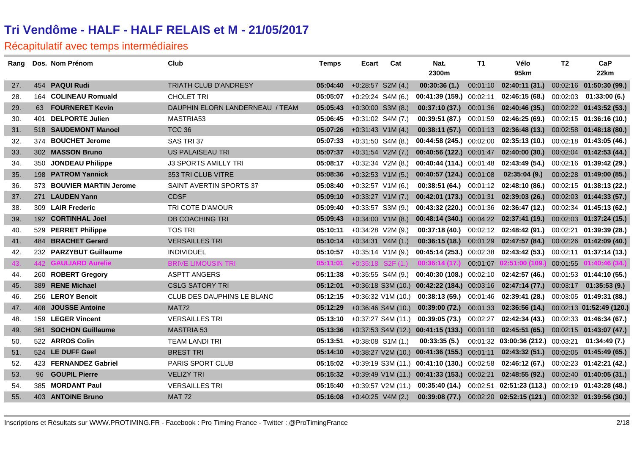| Rang |     | Dos. Nom Prénom             | Club                              | <b>Temps</b> | Ecart               | Cat                  | Nat.                                                                               | T1       | Vélo                                                            | T <sub>2</sub> | CaP                       |
|------|-----|-----------------------------|-----------------------------------|--------------|---------------------|----------------------|------------------------------------------------------------------------------------|----------|-----------------------------------------------------------------|----------------|---------------------------|
|      |     |                             |                                   |              |                     |                      | 2300m                                                                              |          | 95km                                                            |                | 22km                      |
| 27.  |     | 454 PAQUI Rudi              | TRIATH CLUB D'ANDRESY             | 05:04:40     | $+0:28:57$ S2M (4.) |                      | 00:30:36(1.)                                                                       | 00:01:10 | 02:40:11 (31.)                                                  |                | 00:02:16 01:50:30 (99.)   |
| 28.  | 164 | <b>COLINEAU Romuald</b>     | <b>CHOLET TRI</b>                 | 05:05:07     | $+0:29:24$ S4M (6.) |                      | 00:41:39 (159.) 00:02:11                                                           |          | 02:46:15(68)                                                    |                | $00:02:03$ 01:33:00 (6.)  |
| 29.  | 63  | <b>FOURNERET Kevin</b>      | DAUPHIN ELORN LANDERNEAU / TEAM   | 05:05:43     | $+0:30:00$ S3M (8.) |                      | $00:37:10(37.)$ $00:01:36$                                                         |          | $02:40:46(35.)$ $00:02:22$ $01:43:52(53.)$                      |                |                           |
| 30.  | 401 | <b>DELPORTE Julien</b>      | MASTRIA53                         | 05:06:45     | $+0:31:02$ S4M (7.) |                      | 00:39:51 (87.)                                                                     | 00:01:59 | 02:46:25 (69.)                                                  |                | $00:02:15$ 01:36:16 (10.) |
| 31.  |     | 518 SAUDEMONT Manoel        | <b>TCC 36</b>                     | 05:07:26     | $+0:31:43$ V1M (4.) |                      |                                                                                    |          | 00:38:11 (57.) 00:01:13 02:36:48 (13.) 00:02:58 01:48:18 (80.)  |                |                           |
| 32.  |     | 374 BOUCHET Jerome          | SAS TRI 37                        | 05:07:33     | $+0:31:50$ S4M (8.) |                      | <b>00:44:58 (245.)</b> 00:02:00                                                    |          | 02:35:13 (10.)                                                  |                | $00:02:18$ 01:43:05 (46.) |
| 33.  |     | 302 MASSON Bruno            | <b>US PALAISEAU TRI</b>           | 05:07:37     | $+0:31:54$ V2M (7.) |                      |                                                                                    |          | 00:40:56 (122.) 00:01:47 02:40:00 (30.) 00:02:04 01:42:53 (44.) |                |                           |
| 34.  |     | 350 JONDEAU Philippe        | <b>J3 SPORTS AMILLY TRI</b>       | 05:08:17     | $+0:32:34$ V2M (8.) |                      | 00:40:44 (114.) 00:01:48                                                           |          | 02:43:49 (54.)                                                  |                | $00:02:16$ 01:39:42 (29.) |
| 35.  |     | 198 PATROM Yannick          | 353 TRI CLUB VITRE                | 05:08:36     | $+0:32:53$ V1M (5.) |                      | $00:40:57(124.)$ 00:01:08                                                          |          | 02:35:04(9.)                                                    |                | 00:02:28 01:49:00 (85.)   |
| 36.  |     | 373 BOUVIER MARTIN Jerome   | SAINT AVERTIN SPORTS 37           | 05:08:40     | $+0.32:57$ V1M (6.) |                      |                                                                                    |          | $00:38:51(64.)$ $00:01:12$ $02:48:10(86.)$                      |                | 00:02:15 01:38:13 (22.)   |
| 37.  |     | 271 LAUDEN Yann             | <b>CDSF</b>                       | 05:09:10     | $+0:33:27$ V1M (7.) |                      |                                                                                    |          | 00:42:01 (173.) $00:01:31$ 02:39:03 (26.)                       |                | 00:02:03 01:44:33 (57.)   |
| 38.  |     | 309 LAIR Frederic           | TRI COTE D'AMOUR                  | 05:09:40     | $+0:33:57$ S3M (9.) |                      | <b>00:43:32 (220.)</b> 00:01:36                                                    |          | 02:36:47 (12.)                                                  |                | 00:02:34 01:45:13 (62.)   |
| 39.  |     | 192 CORTINHAL Joel          | <b>DB COACHING TRI</b>            | 05:09:43     |                     | $+0:34:00$ V1M (8.)  |                                                                                    |          | 00:48:14 (340.) 00:04:22 02:37:41 (19.) 00:02:03 01:37:24 (15.) |                |                           |
| 40.  |     | 529 PERRET Philippe         | <b>TOS TRI</b>                    | 05:10:11     | $+0:34:28$ V2M (9.) |                      | 00:37:18(40.)                                                                      | 00:02:12 | 02:48:42 (91.)                                                  |                | 00:02:21 01:39:39 (28.)   |
| 41.  | 484 | <b>BRACHET Gerard</b>       | <b>VERSAILLES TRI</b>             | 05:10:14     | $+0:34:31$ V4M (1.) |                      | <b>00:36:15 (18.)</b> 00:01:29                                                     |          | 02:47:57 (84.) 00:02:26 01:42:09 (40.)                          |                |                           |
| 42.  |     | 232 PARZYBUT Guillaume      | <b>INDIVIDUEL</b>                 | 05:10:57     | $+0:35:14$ V1M (9.) |                      |                                                                                    |          | $00:45:14(253.)$ $00:02:38$ $02:43:42(53.)$                     |                | $00:02:11$ 01:37:14 (13.) |
| 43.  |     | <b>442 GAULIARD Aurelie</b> | <b>BRIVE LIMOUSIN TRI</b>         | 05:11:01     |                     |                      | $+0:35:18$ S2F (1.) 00:36:14 (17.)                                                 | 00:01:07 | 02:51:00 (109.)                                                 | 00:01:55       | 01:40:46 (34.)            |
| 44.  |     | 260 ROBERT Gregory          | <b>ASPTT ANGERS</b>               | 05:11:38     |                     | $+0:35:55$ S4M (9.)  | $00:40:30(108.)$ $00:02:10$ $02:42:57(46.)$                                        |          |                                                                 |                | $00:01:53$ 01:44:10 (55.) |
| 45.  |     | 389 RENE Michael            | <b>CSLG SATORY TRI</b>            | 05:12:01     |                     |                      | $+0:36:18$ S3M (10.) 00:42:22 (184.) 00:03:16 02:47:14 (77.)                       |          |                                                                 |                | $00:03:17$ 01:35:53 (9.)  |
| 46.  |     | 256 LEROY Benoit            | <b>CLUB DES DAUPHINS LE BLANC</b> | 05:12:15     |                     | +0:36:32 V1M (10.)   |                                                                                    |          | $00:38:13(59)$ $00:01:46$ $02:39:41(28)$                        |                | 00:03:05 01:49:31 (88.)   |
| 47.  | 408 | <b>JOUSSE Antoine</b>       | MAT72                             | 05:12:29     |                     | $+0:36:46$ S4M (10.) |                                                                                    |          | 00:39:00 (72.) 00:01:33 02:36:56 (14.) 00:02:13 01:52:49 (120.) |                |                           |
| 48.  |     | 159 LEGER Vincent           | <b>VERSAILLES TRI</b>             | 05:13:10     |                     | $+0.37:27$ S4M (11.) | $00:39:05(73.)$ $00:02:27$                                                         |          | $02:42:34(43.)$ $00:02:33$ $01:46:34(67.)$                      |                |                           |
| 49.  |     | 361 SOCHON Guillaume        | <b>MASTRIA 53</b>                 | 05:13:36     |                     |                      | +0:37:53 S4M (12.) 00:41:15 (133.) 00:01:10 02:45:51 (65.) 00:02:15 01:43:07 (47.) |          |                                                                 |                |                           |
| 50.  |     | 522 ARROS Colin             | TEAM LANDI TRI                    | 05:13:51     | $+0:38:08$ S1M (1.) |                      | 00:33:35(5.)                                                                       |          | 00:01:32 03:00:36 (212.) 00:03:21                               |                | 01:34:49(7.)              |
| 51.  |     | 524 LE DUFF Gael            | <b>BREST TRI</b>                  | 05:14:10     |                     |                      | +0:38:27 V2M (10.) 00:41:36 (155.) 00:01:11 02:43:32 (51.) 00:02:05 01:45:49 (65.) |          |                                                                 |                |                           |
| 52.  |     | 423 FERNANDEZ Gabriel       | PARIS SPORT CLUB                  | 05:15:02     |                     |                      | $+0.39:19$ S3M (11.) 00:41:10 (130.) 00:02:58                                      |          | 02:46:12 (67.)                                                  |                | 00:02:23  01:42:21  (42.) |
| 53.  | 96  | <b>GOUPIL Pierre</b>        | <b>VELIZY TRI</b>                 | 05:15:32     |                     |                      | +0:39:49 V1M (11.) 00:41:33 (153.) 00:02:21                                        |          | $02:48:55(92.)$ $00:02:40$ $01:40:05(31.)$                      |                |                           |
| 54.  |     | 385 MORDANT Paul            | <b>VERSAILLES TRI</b>             | 05:15:40     |                     | $+0:39:57$ V2M (11.) | $00:35:40(14.)$ 00:02:51                                                           |          | 02:51:23 (113.) 00:02:19 01:43:28 (48.)                         |                |                           |
| 55.  |     | 403 ANTOINE Bruno           | <b>MAT 72</b>                     | 05:16:08     | $+0.40:25$ V4M (2.) |                      |                                                                                    |          | 00:39:08 (77.) 00:02:20 02:52:15 (121.) 00:02:32 01:39:56 (30.) |                |                           |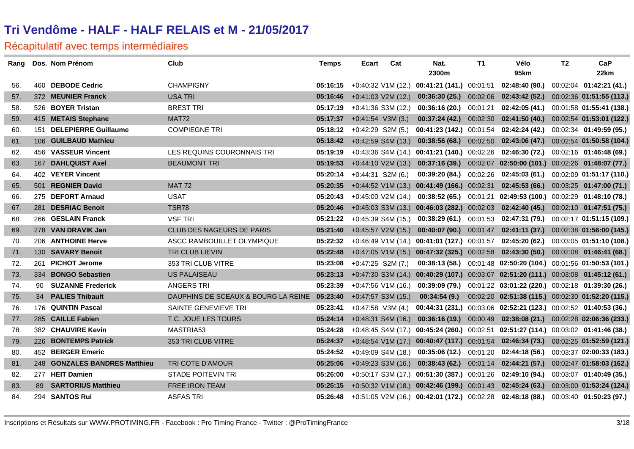| Rang |     | Dos. Nom Prénom               | Club                                         | <b>Temps</b> | Ecart | Cat                  | Nat.                                          | T1       | Vélo                                                                                 | T2 | CaP                       |
|------|-----|-------------------------------|----------------------------------------------|--------------|-------|----------------------|-----------------------------------------------|----------|--------------------------------------------------------------------------------------|----|---------------------------|
|      |     |                               |                                              |              |       |                      | 2300m                                         |          | 95km                                                                                 |    | 22km                      |
| 56.  |     | 460 DEBODE Cedric             | <b>CHAMPIGNY</b>                             | 05:16:15     |       |                      | $+0:40:32$ V1M (12.) 00:41:21 (141.) 00:01:51 |          | 02:48:40 (90.)                                                                       |    | 00:02:04  01:42:21  (41.) |
| 57.  |     | 372 MEUNIER Franck            | <b>USA TRI</b>                               | 05:16:46     |       | $+0.41:03$ V2M (12.) | 00:36:30(25)                                  | 00:02:06 | 02:43:42 (52.) 00:02:36 01:51:55 (113.)                                              |    |                           |
| 58.  |     | 526 BOYER Tristan             | <b>BREST TRI</b>                             | 05:17:19     |       | $+0:41:36$ S3M (12.) | 00:36:16 (20.)                                | 00:01:21 | 02:42:05 (41.) 00:01:58 01:55:41 (138.)                                              |    |                           |
| 59.  |     | 415 METAIS Stephane           | MAT72                                        | 05:17:37     |       | $+0:41:54$ V3M (3.)  | 00:37:24(42)                                  | 00:02:30 | 02:41:50 (40.) 00:02:54 01:53:01 (122.)                                              |    |                           |
| 60.  | 151 | <b>DELEPIERRE Guillaume</b>   | <b>COMPIEGNE TRI</b>                         | 05:18:12     |       | $+0.42:29$ S2M (5.)  | <b>00:41:23 (142.)</b> 00:01:54               |          | 02:42:24 (42.)                                                                       |    | 00:02:34 01:49:59 (95.)   |
| 61.  |     | 106 GUILBAUD Mathieu          |                                              | 05:18:42     |       | +0:42:59 S4M (13.)   | $00:38:56(68.)$ 00:02:50                      |          | 02:43:06 (47.) 00:02:54 01:50:58 (104.)                                              |    |                           |
| 62.  |     | 456 VASSEUR Vincent           | LES REQUINS COURONNAIS TRI                   | 05:19:19     |       |                      | +0:43:36 S4M (14.) 00:41:21 (140.) 00:02:26   |          | $02:46:30(72.)$ $00:02:16$ $01:46:48(69.)$                                           |    |                           |
| 63.  |     | 167 DAHLQUIST Axel            | <b>BEAUMONT TRI</b>                          | 05:19:53     |       | $+0:44:10$ V2M (13.) |                                               |          | $00:37:16(39.)$ $00:02:07$ $02:50:00(101.)$ $00:02:26$ $01:48:07(77.)$               |    |                           |
| 64.  |     | 402 VEYER Vincent             |                                              | 05:20:14     |       | $+0:44:31$ S2M (6.)  | 00:39:20 (84.)                                | 00:02:26 | 02:45:03 (61.) 00:02:09 01:51:17 (110.)                                              |    |                           |
| 65.  |     | 501 REGNIER David             | <b>MAT 72</b>                                | 05:20:35     |       |                      | $+0:44:52$ V1M (13.) 00:41:49 (166.) 00:02:31 |          | $02:45:53(66.)$ $00:03:25$ $01:47:00(71.)$                                           |    |                           |
| 66.  |     | 275 DEFORT Arnaud             | <b>USAT</b>                                  | 05:20:43     |       | $+0:45:00$ V2M (14.) | 00:38:52(65)                                  |          | 00:01:21 02:49:53 (100.) 00:02:29 01:48:10 (78.)                                     |    |                           |
| 67.  |     | 281 DESRIAC Benoit            | <b>TSR78</b>                                 | 05:20:46     |       |                      |                                               |          | +0:45:03 S3M (13.) 00:46:03 (282.) 00:02:03 02:42:40 (45.) 00:02:10 01:47:51 (75.)   |    |                           |
| 68.  |     | 266 GESLAIN Franck            | <b>VSF TRI</b>                               | 05:21:22     |       | $+0:45:39$ S4M (15.) | 00:38:29 (61.)                                |          | 00:01:53  02:47:31  (79.)  00:02:17  01:51:15  (109.)                                |    |                           |
| 69.  |     | 278 VAN DRAVIK Jan            | CLUB DES NAGEURS DE PARIS                    | 05:21:40     |       | $+0:45:57$ V2M (15.) | 00:40:07(90.)                                 |          | 00:01:47 02:41:11 (37.) 00:02:38 01:56:00 (145.)                                     |    |                           |
| 70.  |     | 206 ANTHOINE Herve            | ASCC RAMBOUILLET OLYMPIQUE                   | 05:22:32     |       |                      | +0:46:49 V1M (14.) 00:41:01 (127.) 00:01:57   |          | 02:45:20 (62.) 00:03:05 01:51:10 (108.)                                              |    |                           |
| 71.  |     | 130 SAVARY Benoit             | TRI CLUB LIEVIN                              | 05:22:48     |       |                      |                                               |          | +0:47:05 V1M (15.) 00:47:32 (325.) 00:02:58 02:43:30 (50.) 00:02:08 01:46:41 (68.)   |    |                           |
| 72.  |     | 261 PICHOT Jerome             | 353 TRI CLUB VITRE                           | 05:23:08     |       | $+0:47:25$ S2M (7.)  |                                               |          | 00:38:13 (58.) 00:01:48 02:50:20 (104.) 00:01:56 01:50:53 (101.)                     |    |                           |
| 73.  |     | 334 BONGO Sebastien           | <b>US PALAISEAU</b>                          | 05:23:13     |       |                      |                                               |          | +0:47:30 S3M (14.) 00:40:29 (107.) 00:03:07 02:51:20 (111.) 00:03:08 01:45:12 (61.)  |    |                           |
| 74.  | 90  | <b>SUZANNE Frederick</b>      | <b>ANGERS TRI</b>                            | 05:23:39     |       | $+0.47:56$ V1M (16.) | 00:39:09 (79.)                                |          | 00:01:22 03:01:22 (220.) 00:02:18 01:39:30 (26.)                                     |    |                           |
| 75.  | 34  | <b>PALIES Thibault</b>        | DAUPHINS DE SCEAUX & BOURG LA REINE 05:23:40 |              |       | $+0:47:57$ S3M (15.) | 00:34:54(9.)                                  |          | 00:02:20 02:51:38 (115.) 00:02:30 01:52:20 (115.)                                    |    |                           |
| 76.  |     | 176 QUINTIN Pascal            | <b>SAINTE GENEVIEVE TRI</b>                  | 05:23:41     |       | $+0:47:58$ V3M (4.)  |                                               |          | 00:44:31 (231.) 00:03:06 02:52:21 (123.) 00:02:52 01:40:53 (36.)                     |    |                           |
| 77.  |     | 285 CAILLE Fabien             | T.C. JOUE LES TOURS                          | 05:24:14     |       | $+0.48.31$ S4M (16.) |                                               |          | $0.36:16(19.)$ $00.00:49$ $02:38:08(21.)$ $00.02:28$ $02:06:36(233.)$                |    |                           |
| 78.  |     | 382 CHAUVIRE Kevin            | MASTRIA53                                    | 05:24:28     |       |                      |                                               |          | +0:48:45 S4M (17.) 00:45:24 (260.) 00:02:51 02:51:27 (114.) 00:03:02 01:41:46 (38.)  |    |                           |
| 79.  |     | 226 BONTEMPS Patrick          | 353 TRI CLUB VITRE                           | 05:24:37     |       |                      |                                               |          | +0:48:54 V1M (17.) 00:40:47 (117.) 00:01:54 02:46:34 (73.) 00:02:25 01:52:59 (121.)  |    |                           |
| 80.  |     | 452 BERGER Emeric             |                                              | 05:24:52     |       | +0:49:09 S4M (18.)   | 00:35:06(12.)                                 | 00:01:20 | 02:44:18 (56.) 00:03:37 02:00:33 (183.)                                              |    |                           |
| 81.  |     | 248 GONZALES BANDRES Matthieu | TRI COTE D'AMOUR                             | 05:25:06     |       | $+0.49:23$ S3M (16.) | 00:38:43(62)                                  |          | 00:01:14  02:44:21  (57.)  00:02:47  01:58:03  (162.)                                |    |                           |
| 82.  |     | 277 HEIT Damien               | <b>STADE POITEVIN TRI</b>                    | 05:26:00     |       |                      |                                               |          | $+0.50.17$ S3M (17.) 00:51:30 (387.) 00:01:26 02:49:10 (94.) 00:03:07 01:40:49 (35.) |    |                           |
| 83.  |     | 89 SARTORIUS Matthieu         | FREE IRON TEAM                               | 05:26:15     |       |                      |                                               |          | +0:50:32 V1M (18.) 00:42:46 (199.) 00:01:43 02:45:24 (63.) 00:03:00 01:53:24 (124.)  |    |                           |
| 84.  |     | 294 SANTOS Rui                | <b>ASFAS TRI</b>                             | 05:26:48     |       |                      |                                               |          | $+0.51.05$ V2M (16.) 00:42:01 (172.) 00:02:28 02:48:18 (88.) 00:03:40 01:50:23 (97.) |    |                           |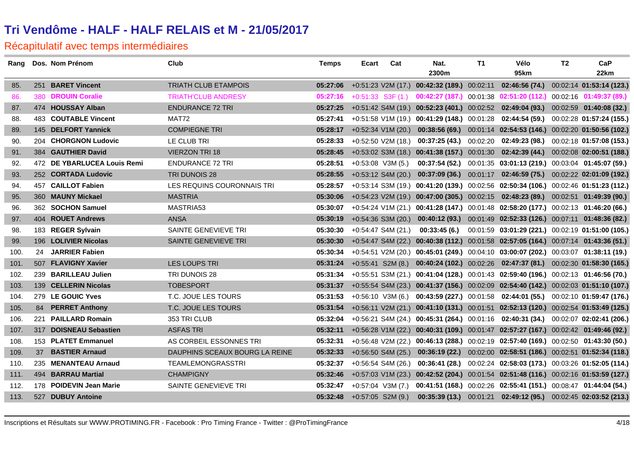| Rang |     | Dos. Nom Prénom             | Club                           | <b>Temps</b>                 | Ecart                 | Cat                  | Nat.         | T1 | Vélo                                                                                        | T <sub>2</sub> | CaP  |
|------|-----|-----------------------------|--------------------------------|------------------------------|-----------------------|----------------------|--------------|----|---------------------------------------------------------------------------------------------|----------------|------|
|      |     |                             |                                |                              |                       |                      | 2300m        |    | 95km                                                                                        |                | 22km |
| 85.  |     | 251 BARET Vincent           | <b>TRIATH CLUB ETAMPOIS</b>    | 05:27:06                     |                       |                      |              |    | +0:51:23 V2M (17.) 00:42:32 (189.) 00:02:11 02:46:56 (74.) 00:02:14 01:53:14 (123.)         |                |      |
| 86.  | 380 | <b>DROUIN Coralie</b>       | <b>TRIATH'CLUB ANDRESY</b>     | 05:27:16                     | $+0:51:33$ S3F $(1.)$ |                      |              |    | 00:42:27 (187.) 00:01:38 02:51:20 (112.) 00:02:16 01:49:37 (89.)                            |                |      |
| 87.  |     | 474 HOUSSAY Alban           | <b>ENDURANCE 72 TRI</b>        | 05:27:25                     |                       |                      |              |    | +0:51:42 S4M (19.) 00:52:23 (401.) 00:02:52 02:49:04 (93.) 00:02:59 01:40:08 (32.)          |                |      |
| 88.  |     | 483 COUTABLE Vincent        | MAT72                          | 05:27:41                     |                       |                      |              |    | $+0.51.58$ V1M (19.) 00:41:29 (148.) 00:01:28 02:44:54 (59.) 00:02:28 01:57:24 (155.)       |                |      |
| 89.  |     | 145 DELFORT Yannick         | <b>COMPIEGNE TRI</b>           | 05:28:17                     |                       |                      |              |    | +0:52:34 V1M (20.) 00:38:56 (69.) 00:01:14 02:54:53 (146.) 00:02:20 01:50:56 (102.)         |                |      |
| 90.  |     | 204 CHORGNON Ludovic        | LE CLUB TRI                    | 05:28:33                     |                       | $+0:52:50$ V2M (18.) |              |    | 00:37:25 (43.) 00:02:20 02:49:23 (98.) 00:02:18 01:57:08 (153.)                             |                |      |
| 91.  |     | 384 GAUTHIER David          | <b>VIERZON TRI 18</b>          | 05:28:45                     |                       |                      |              |    | +0:53:02 S3M (18.) 00:41:38 (157.) 00:01:30 02:42:39 (44.) 00:02:08 02:00:51 (188.)         |                |      |
| 92.  |     | 472 DE YBARLUCEA Louis Remi | <b>ENDURANCE 72 TRI</b>        | 05:28:51                     | $+0:53:08$ V3M (5.)   |                      |              |    | 00:37:54 (52.) 00:01:35 03:01:13 (219.) 00:03:04 01:45:07 (59.)                             |                |      |
| 93.  |     | 252 CORTADA Ludovic         | <b>TRI DUNOIS 28</b>           | 05:28:55                     |                       | $+0.53:12$ S4M (20.) |              |    | 00:37:09 (36.) 00:01:17 02:46:59 (75.) 00:02:22 02:01:09 (192.)                             |                |      |
| 94.  |     | 457 CAILLOT Fabien          | LES REQUINS COURONNAIS TRI     | 05:28:57                     |                       |                      |              |    | +0:53:14 S3M (19.) 00:41:20 (139.) 00:02:56 02:50:34 (106.) 00:02:46 01:51:23 (112.)        |                |      |
| 95.  |     | 360 MAUNY Mickael           | <b>MASTRIA</b>                 | 05:30:06                     |                       |                      |              |    | +0:54:23 V2M (19.) 00:47:00 (305.) 00:02:15 02:48:23 (89.) 00:02:51 01:49:39 (90.)          |                |      |
| 96.  |     | 362 SOCHON Samuel           | MASTRIA53                      | 05:30:07                     |                       |                      |              |    | $+0.54.24$ V1M (21.) 00:41:28 (147.) 00:01:48 02:58:20 (177.) 00:02:13 01:46:20 (66.)       |                |      |
| 97.  |     | 404 ROUET Andrews           | <b>ANSA</b>                    | 05:30:19                     |                       |                      |              |    | +0:54:36 S3M (20.) 00:40:12 (93.) 00:01:49 02:52:33 (126.) 00:07:11 01:48:36 (82.)          |                |      |
| 98.  |     | 183 REGER Sylvain           | SAINTE GENEVIEVE TRI           | 05:30:30                     |                       | $+0:54:47$ S4M (21.) | 00:33:45(6.) |    | 00:01:59 03:01:29 (221.) 00:02:19 01:51:00 (105.)                                           |                |      |
| 99.  |     | 196 LOLIVIER Nicolas        | SAINTE GENEVIEVE TRI           | 05:30:30                     |                       |                      |              |    | $+0.54.47$ S4M (22.) 00:40:38 (112.) 00:01:58 02:57:05 (164.) 00:07:14 01:43:36 (51.)       |                |      |
| 100. |     | 24 JARRIER Fabien           |                                | 05:30:34                     |                       |                      |              |    | $+0.54.51$ V2M (20.) 00:45:01 (249.) 00:04:10 03:00:07 (202.) 00:03:07 01:38:11 (19.)       |                |      |
| 101. |     | 507 FLAVIGNY Xavier         | <b>LES LOUPS TRI</b>           |                              |                       |                      |              |    | 05:31:24 +0:55:41 S2M (8.) 00:40:24 (102.) 00:02:26 02:47:37 (81.) 00:02:30 01:58:30 (165.) |                |      |
| 102. |     | 239 BARILLEAU Julien        | TRI DUNOIS 28                  | 05:31:34                     |                       |                      |              |    | +0:55:51 S3M (21.) 00:41:04 (128.) 00:01:43 02:59:40 (196.) 00:02:13 01:46:56 (70.)         |                |      |
| 103. |     | 139 CELLERIN Nicolas        | <b>TOBESPORT</b>               | 05:31:37                     |                       |                      |              |    | +0:55:54 S4M (23.) 00:41:37 (156.) 00:02:09 02:54:40 (142.) 00:02:03 01:51:10 (107.)        |                |      |
| 104. |     | 279 LE GOUIC Yves           | T.C. JOUE LES TOURS            | 05:31:53                     |                       |                      |              |    | +0:56:10 V3M (6.) 00:43:59 (227.) 00:01:58 02:44:01 (55.) 00:02:10 01:59:47 (176.)          |                |      |
| 105. |     | 84 PERRET Anthony           | T.C. JOUE LES TOURS            | 05:31:54                     |                       |                      |              |    | +0:56:11 V2M (21.) 00:41:10 (131.) 00:01:51 02:52:13 (120.) 00:02:54 01:53:49 (125.)        |                |      |
| 106. |     | 221 PAILLARD Romain         | 353 TRI CLUB                   | 05:32:04                     |                       |                      |              |    | +0:56:21 S4M (24.) 00:45:31 (264.) 00:01:16 02:40:31 (34.) 00:02:07 02:02:41 (206.)         |                |      |
| 107. |     | 317 DOISNEAU Sebastien      | <b>ASFAS TRI</b>               | 05:32:11                     |                       |                      |              |    | +0:56:28 V1M (22.) 00:40:31 (109.) 00:01:47 02:57:27 (167.) 00:02:42 01:49:46 (92.)         |                |      |
| 108. |     | 153 PLATET Emmanuel         | AS CORBEIL ESSONNES TRI        | 05:32:31                     |                       |                      |              |    | $+0.56.48$ V2M (22.) 00:46:13 (288.) 00:02:19 02:57:40 (169.) 00:02:50 01:43:30 (50.)       |                |      |
| 109. |     | 37 BASTIER Arnaud           | DAUPHINS SCEAUX BOURG LA REINE | 05:32:33                     |                       |                      |              |    | +0:56:50 S4M (25.) 00:36:19 (22.) 00:02:00 02:58:51 (186.) 00:02:51 01:52:34 (118.)         |                |      |
| 110. |     | 235 MENANTEAU Arnaud        | <b>TEAMLEMONGRASSTRI</b>       | 05:32:37                     |                       | $+0.56.54$ S4M (26.) |              |    | 00:36:41 (28.) 00:02:24 02:58:03 (173.) 00:03:26 01:52:05 (114.)                            |                |      |
| 111. |     | 494 BARRAU Martial          | <b>CHAMPIGNY</b>               | 05:32:46                     |                       |                      |              |    | +0:57:03 V1M (23.) 00:42:52 (204.) 00:01:54 02:51:48 (116.) 00:02:16 01:53:59 (127.)        |                |      |
| 112. |     | 178 POIDEVIN Jean Marie     | SAINTE GENEVIEVE TRI           | 05:32:47                     |                       |                      |              |    | +0:57:04 V3M (7.) 00:41:51 (168.) 00:02:26 02:55:41 (151.) 00:08:47 01:44:04 (54.)          |                |      |
| 113. |     | 527 DUBUY Antoine           |                                | $05:32:48$ +0:57:05 S2M (9.) |                       |                      |              |    | 00:35:39 (13.) 00:01:21 02:49:12 (95.) 00:02:45 02:03:52 (213.)                             |                |      |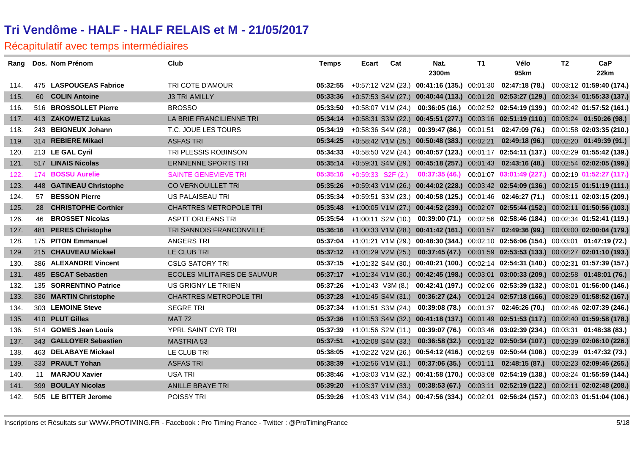|      | Rang Dos. Nom Prénom    | Club                               | <b>Temps</b> | Ecart | Cat                 | Nat.<br>2300m | <b>T1</b> | Vélo<br>95km                                                                                  | T <sub>2</sub> | CaP<br>22km |
|------|-------------------------|------------------------------------|--------------|-------|---------------------|---------------|-----------|-----------------------------------------------------------------------------------------------|----------------|-------------|
| 114. | 475 LASPOUGEAS Fabrice  | TRI COTE D'AMOUR                   | 05:32:55     |       |                     |               |           | +0:57:12 V2M (23.) 00:41:16 (135.) 00:01:30 02:47:18 (78.) 00:03:12 01:59:40 (174.)           |                |             |
| 115. | 60 COLIN Antoine        | <b>J3 TRI AMILLY</b>               | 05:33:36     |       |                     |               |           | +0:57:53 S4M (27.) 00:40:44 (113.) 00:01:20 02:53:27 (129.) 00:02:34 01:55:33 (137.)          |                |             |
| 116. | 516 BROSSOLLET Pierre   | <b>BROSSO</b>                      | 05:33:50     |       |                     |               |           | +0:58:07 V1M (24.) 00:36:05 (16.) 00:02:52 02:54:19 (139.) 00:02:42 01:57:52 (161.)           |                |             |
| 117. | 413 ZAKOWETZ Lukas      | LA BRIE FRANCILIENNE TRI           | 05:34:14     |       |                     |               |           | +0:58:31 S3M (22.) 00:45:51 (277.) 00:03:16 02:51:19 (110.) 00:03:24 01:50:26 (98.)           |                |             |
| 118. | 243 BEIGNEUX Johann     | T.C. JOUE LES TOURS                | 05:34:19     |       |                     |               |           | $+0.58.36$ S4M (28.) 00:39:47 (86.) 00:01:51 02:47:09 (76.) 00:01:58 02:03:35 (210.)          |                |             |
| 119. | 314 REBIERE Mikael      | <b>ASFAS TRI</b>                   | 05:34:25     |       |                     |               |           | +0:58:42 V1M (25.) 00:50:48 (383.) 00:02:21 02:49:18 (96.) 00:02:20 01:49:39 (91.)            |                |             |
| 120. | 213 LE GAL Cyril        | TRI PLESSIS ROBINSON               | 05:34:33     |       |                     |               |           | +0:58:50 V2M (24.) 00:40:57 (123.) 00:01:17 02:54:11 (137.) 00:02:29 01:55:42 (139.)          |                |             |
| 121. | 517 LINAIS Nicolas      | <b>ERNNENNE SPORTS TRI</b>         | 05:35:14     |       |                     |               |           | +0:59:31 S4M (29.) 00:45:18 (257.) 00:01:43 02:43:16 (48.) 00:02:54 02:02:05 (199.)           |                |             |
| 122. | 174 BOSSU Aurelie       | <b>SAINTE GENEVIEVE TRI</b>        | 05:35:16     |       | $+0:59:33$ S2F (2.) |               |           | 00:37:35 (46.) 00:01:07 03:01:49 (227.) 00:02:19 01:52:27 (117.)                              |                |             |
| 123. | 448 GATINEAU Christophe | CO VERNOUILLET TRI                 | 05:35:26     |       |                     |               |           | +0:59:43 V1M (26.) 00:44:02 (228.) 00:03:42 02:54:09 (136.) 00:02:15 01:51:19 (111.)          |                |             |
| 124. | 57 BESSON Pierre        | US PALAISEAU TRI                   | 05:35:34     |       |                     |               |           | +0:59:51 S3M (23.) 00:40:58 (125.) 00:01:46 02:46:27 (71.) 00:03:11 02:03:15 (209.)           |                |             |
| 125. | 28 CHRISTOPHE Corthier  | <b>CHARTRES METROPOLE TRI</b>      |              |       |                     |               |           | 05:35:48 +1:00:05 V1M (27.) 00:44:52 (239.) 00:02:07 02:55:44 (152.) 00:02:11 01:50:56 (103.) |                |             |
| 126. | 46 BROSSET Nicolas      | <b>ASPTT ORLEANS TRI</b>           | 05:35:54     |       |                     |               |           | +1:00:11 S2M (10.) 00:39:00 (71.) 00:02:56 02:58:46 (184.) 00:02:34 01:52:41 (119.)           |                |             |
| 127. | 481 PERES Christophe    | TRI SANNOIS FRANCONVILLE           | 05:36:16     |       |                     |               |           | +1:00:33 V1M (28.) 00:41:42 (161.) 00:01:57 02:49:36 (99.) 00:03:00 02:00:04 (179.)           |                |             |
| 128. | 175 PITON Emmanuel      | <b>ANGERS TRI</b>                  |              |       |                     |               |           | 05:37:04 +1:01:21 V1M (29.) 00:48:30 (344.) 00:02:10 02:56:06 (154.) 00:03:01 01:47:19 (72.)  |                |             |
| 129. | 215 CHAUVEAU Mickael    | LE CLUB TRI                        |              |       |                     |               |           | 05:37:12 +1:01:29 V2M (25.) 00:37:45 (47.) 00:01:59 02:53:53 (133.) 00:02:27 02:01:10 (193.)  |                |             |
| 130. | 386 ALEXANDRE Vincent   | <b>CSLG SATORY TRI</b>             |              |       |                     |               |           | 05:37:15 +1:01:32 S4M (30.) 00:40:21 (100.) 00:02:14 02:54:31 (140.) 00:02:31 01:57:39 (157.) |                |             |
| 131. | 485 ESCAT Sebastien     | <b>ECOLES MILITAIRES DE SAUMUR</b> |              |       |                     |               |           | 05:37:17 +1:01:34 V1M (30.) 00:42:45 (198.) 00:03:01 03:00:33 (209.) 00:02:58 01:48:01 (76.)  |                |             |
| 132. | 135 SORRENTINO Patrice  | US GRIGNY LE TRIIEN                |              |       |                     |               |           | 05:37:26 +1:01:43 V3M (8.) 00:42:41 (197.) 00:02:06 02:53:39 (132.) 00:03:01 01:56:00 (146.)  |                |             |
| 133. | 336 MARTIN Christophe   | <b>CHARTRES METROPOLE TRI</b>      | 05:37:28     |       | +1:01:45 S4M (31.)  |               |           | 00:36:27 (24.) 00:01:24 02:57:18 (166.) 00:03:29 01:58:52 (167.)                              |                |             |
| 134. | 303 LEMOINE Steve       | <b>SEGRE TRI</b>                   | 05:37:34     |       | +1:01:51 S3M (24.)  |               |           | 00:39:08 (78.) 00:01:37 02:46:26 (70.) 00:02:46 02:07:39 (246.)                               |                |             |
| 135. | 410 PLUT Gilles         | <b>MAT 72</b>                      |              |       |                     |               |           | 05:37:36 +1:01:53 S4M (32.) 00:41:18 (137.) 00:01:49 02:51:53 (117.) 00:02:40 01:59:58 (178.) |                |             |
| 136. | 514 GOMES Jean Louis    | YPRL SAINT CYR TRI                 | 05:37:39     |       |                     |               |           | $+1:01:56$ S2M (11.) 00:39:07 (76.) 00:03:46 03:02:39 (234.) 00:03:31 01:48:38 (83.)          |                |             |
| 137. | 343 GALLOYER Sebastien  | <b>MASTRIA 53</b>                  |              |       |                     |               |           | 05:37:51 +1:02:08 S4M (33.) 00:36:58 (32.) 00:01:32 02:50:34 (107.) 00:02:39 02:06:10 (226.)  |                |             |
| 138. | 463 DELABAYE Mickael    | LE CLUB TRI                        |              |       |                     |               |           | 05:38:05 +1:02:22 V2M (26.) 00:54:12 (416.) 00:02:59 02:50:44 (108.) 00:02:39 01:47:32 (73.)  |                |             |
| 139. | 333 PRAULT Yohan        | <b>ASFAS TRI</b>                   | 05:38:39     |       |                     |               |           | +1:02:56 V1M (31.) 00:37:06 (35.) 00:01:11 02:48:15 (87.) 00:02:23 02:09:46 (265.)            |                |             |
| 140. | 11 MARJOU Xavier        | USA TRI                            |              |       |                     |               |           | 05:38:46 +1:03:03 V1M (32.) 00:41:58 (170.) 00:03:08 02:54:19 (138.) 00:03:24 01:55:59 (144.) |                |             |
| 141. | 399 BOULAY Nicolas      | <b>ANILLE BRAYE TRI</b>            | 05:39:20     |       |                     |               |           | +1:03:37 V1M (33.) 00:38:53 (67.) 00:03:11 02:52:19 (122.) 00:02:11 02:02:48 (208.)           |                |             |
| 142. | 505 LE BITTER Jerome    | <b>POISSY TRI</b>                  |              |       |                     |               |           | 05:39:26 +1:03:43 V1M (34.) 00:47:56 (334.) 00:02:01 02:56:24 (157.) 00:02:03 01:51:04 (106.) |                |             |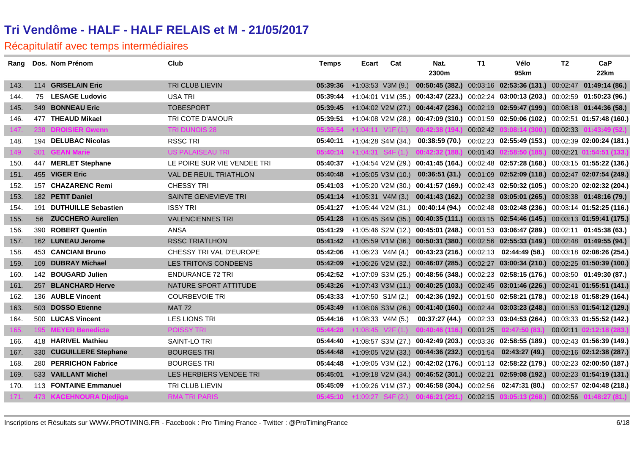|      | Rang Dos. Nom Prénom    | Club                          | <b>Temps</b> | Ecart | Cat                          | Nat.                                                                                          | T1       | Vélo                                                             | T2       | CaP                      |
|------|-------------------------|-------------------------------|--------------|-------|------------------------------|-----------------------------------------------------------------------------------------------|----------|------------------------------------------------------------------|----------|--------------------------|
|      |                         |                               |              |       |                              | 2300m                                                                                         |          | <b>95km</b>                                                      |          | 22km                     |
| 143. | 114 GRISELAIN Eric      | TRI CLUB LIEVIN               | 05:39:36     |       |                              | +1:03:53 V3M (9.) 00:50:45 (382.) 00:03:16 02:53:36 (131.) 00:02:47 01:49:14 (86.)            |          |                                                                  |          |                          |
| 144. | 75 LESAGE Ludovic       | <b>USA TRI</b>                | 05:39:44     |       |                              | $+1:04:01$ V1M (35.) 00:43:47 (223.) 00:02:24 03:00:13 (203.) 00:02:59 01:50:23 (96.)         |          |                                                                  |          |                          |
| 145. | 349 BONNEAU Eric        | <b>TOBESPORT</b>              |              |       |                              | 05:39:45 +1:04:02 V2M (27.) 00:44:47 (236.) 00:02:19 02:59:47 (199.) 00:08:18 01:44:36 (58.)  |          |                                                                  |          |                          |
| 146. | 477 THEAUD Mikael       | TRI COTE D'AMOUR              | 05:39:51     |       |                              | +1:04:08 V2M (28.) 00:47:09 (310.) 00:01:59 02:50:06 (102.) 00:02:51 01:57:48 (160.)          |          |                                                                  |          |                          |
| 147. | 238 DROISIER Gwenn      | TRI DUNOIS 28                 |              |       |                              | $05:39:54$ +1:04:11 V1F (1.) 00:42:38 (194.)                                                  | 00:02:42 | 03:08:14 (300.)                                                  | 00:02:33 | 01:43:49(52)             |
| 148. | 194 DELUBAC Nicolas     | <b>RSSC TRI</b>               |              |       |                              | 05:40:11 +1:04:28 S4M (34.) 00:38:59 (70.) 00:02:23 02:55:49 (153.) 00:02:39 02:00:24 (181.)  |          |                                                                  |          |                          |
| 149. | 301 GEAN Marie          | US PALAISEAU TRI              |              |       |                              | $05:40:14$ +1:04:31 S4F (1.) 00:42:32 (188.)                                                  | 00:01:43 | 02:58:50 (185.)                                                  |          | 00:02:21 01:54:51 (133.) |
| 150. | 447 MERLET Stephane     | LE POIRE SUR VIE VENDEE TRI   |              |       |                              | 05:40:37 +1:04:54 V2M (29.) 00:41:45 (164.) 00:02:48 02:57:28 (168.) 00:03:15 01:55:22 (136.) |          |                                                                  |          |                          |
| 151. | 455 VIGER Eric          | <b>VAL DE REUIL TRIATHLON</b> | 05:40:48     |       |                              | +1:05:05 V3M (10.) 00:36:51 (31.) 00:01:09 02:52:09 (118.) 00:02:47 02:07:54 (249.)           |          |                                                                  |          |                          |
| 152. | 157 CHAZARENC Remi      | <b>CHESSY TRI</b>             |              |       |                              | 05:41:03 +1:05:20 V2M (30.) 00:41:57 (169.) 00:02:43 02:50:32 (105.) 00:03:20 02:02:32 (204.) |          |                                                                  |          |                          |
| 153. | 182 PETIT Daniel        | SAINTE GENEVIEVE TRI          |              |       |                              | 05:41:14 +1:05:31 V4M (3.) 00:41:43 (162.) 00:02:38 03:05:01 (265.) 00:03:38 01:48:16 (79.)   |          |                                                                  |          |                          |
| 154. | 191 DUTHUILLE Sebastien | <b>ISSY TRI</b>               |              |       |                              | 05:41:27 +1:05:44 V2M (31.) 00:40:14 (94.) 00:02:48 03:02:48 (236.) 00:03:14 01:52:25 (116.)  |          |                                                                  |          |                          |
| 155. | 56 ZUCCHERO Aurelien    | <b>VALENCIENNES TRI</b>       |              |       |                              | 05:41:28 +1:05:45 S4M (35.) 00:40:35 (111.) 00:03:15 02:54:46 (145.) 00:03:13 01:59:41 (175.) |          |                                                                  |          |                          |
| 156. | 390 ROBERT Quentin      | <b>ANSA</b>                   | 05:41:29     |       |                              | +1:05:46 S2M (12.) 00:45:01 (248.) 00:01:53 03:06:47 (289.) 00:02:11 01:45:38 (63.)           |          |                                                                  |          |                          |
| 157. | 162 LUNEAU Jerome       | <b>RSSC TRIATLHON</b>         |              |       |                              | 05:41:42 +1:05:59 V1M (36.) 00:50:31 (380.) 00:02:56 02:55:33 (149.) 00:02:48 01:49:55 (94.)  |          |                                                                  |          |                          |
| 158. | 453 CANCIANI Bruno      | CHESSY TRI VAL D'EUROPE       |              |       |                              | 05:42:06 +1:06:23 V4M (4.) 00:43:23 (216.) 00:02:13 02:44:49 (58.) 00:03:18 02:08:26 (254.)   |          |                                                                  |          |                          |
| 159. | 109 DUBRAY Michael      | LES TRITONS CONDEENS          |              |       |                              | 05:42:09 +1:06:26 V2M (32.) 00:46:07 (285.) 00:02:27 03:00:34 (210.) 00:02:25 01:50:39 (100.) |          |                                                                  |          |                          |
| 160. | 142 BOUGARD Julien      | <b>ENDURANCE 72 TRI</b>       |              |       |                              | 05:42:52 +1:07:09 S3M (25.) 00:48:56 (348.) 00:02:23 02:58:15 (176.) 00:03:50 01:49:30 (87.)  |          |                                                                  |          |                          |
| 161. | 257 BLANCHARD Herve     | NATURE SPORT ATTITUDE         |              |       |                              | 05:43:26 +1:07:43 V3M (11.) 00:40:25 (103.) 00:02:45 03:01:46 (226.) 00:02:41 01:55:51 (141.) |          |                                                                  |          |                          |
| 162. | 136 AUBLE Vincent       | <b>COURBEVOIE TRI</b>         |              |       |                              | 05:43:33 +1:07:50 S1M (2.) 00:42:36 (192.) 00:01:50 02:58:21 (178.) 00:02:18 01:58:29 (164.)  |          |                                                                  |          |                          |
| 163. | 503 DOSSO Etienne       | <b>MAT 72</b>                 | 05:43:49     |       |                              | +1:08:06 S3M (26.) 00:41:40 (160.) 00:02:44 03:03:23 (248.) 00:01:53 01:54:12 (129.)          |          |                                                                  |          |                          |
| 164. | 500 LUCAS Vincent       | <b>LES LIONS TRI</b>          |              |       | $05:44:16$ +1:08:33 V4M (5.) |                                                                                               |          | 00:37:27 (44.) 00:02:33 03:04:53 (264.) 00:03:33 01:55:52 (142.) |          |                          |
| 165. | 195 MEYER Benedicte     | <b>POISSY TRI</b>             |              |       |                              | $05:44:28$ +1:08:45 V2F (1.) 00:40:46 (116.)                                                  | 00:01:25 | 02:47:50(83.)                                                    |          | 00:02:11 02:12:18 (283.) |
| 166. | 418 HARIVEL Mathieu     | SAINT-LO TRI                  |              |       |                              | 05:44:40 +1:08:57 S3M (27.) 00:42:49 (203.) 00:03:36 02:58:55 (189.) 00:02:43 01:56:39 (149.) |          |                                                                  |          |                          |
| 167. | 330 CUGUILLERE Stephane | <b>BOURGES TRI</b>            |              |       |                              | 05:44:48 +1:09:05 V2M (33.) 00:44:36 (232.) 00:01:54 02:43:27 (49.) 00:02:16 02:12:38 (287.)  |          |                                                                  |          |                          |
| 168. | 280 PERRICHON Fabrice   | <b>BOURGES TRI</b>            |              |       |                              | 05:44:48 +1:09:05 V3M (12.) 00:42:02 (176.) 00:01:13 02:58:22 (179.) 00:02:23 02:00:50 (187.) |          |                                                                  |          |                          |
| 169. | 533 VAILLANT Michel     | LES HERBIERS VENDEE TRI       |              |       |                              | 05:45:01 +1:09:18 V2M (34.) 00:46:52 (301.) 00:02:21 02:59:08 (192.) 00:02:23 01:54:19 (131.) |          |                                                                  |          |                          |
| 170. | 113 FONTAINE Emmanuel   | TRI CLUB LIEVIN               |              |       |                              | 05:45:09 +1:09:26 V1M (37.) 00:46:58 (304.) 00:02:56 02:47:31 (80.) 00:02:57 02:04:48 (218.)  |          |                                                                  |          |                          |
| 171. | 473 KACEHNOURA Djedjiga | <b>RMA TRI PARIS</b>          |              |       |                              | 05:45:10 +1:09:27 S4F (2.) 00:46:21 (291.) 00:02:15                                           |          | 03:05:13 (268.)                                                  | 00:02:56 | 01:48:27(81)             |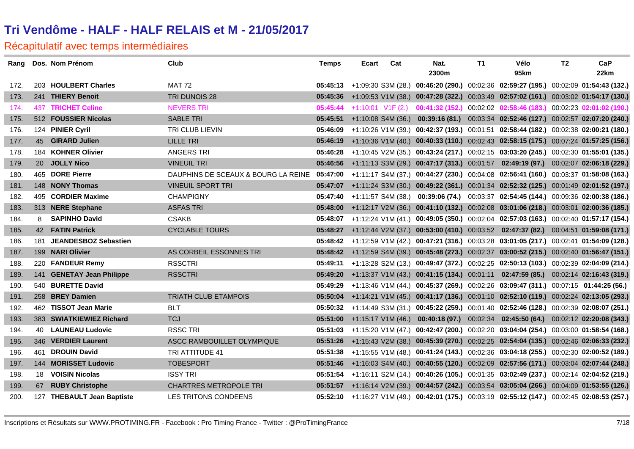|      | Rang Dos. Nom Prénom       | Club                                                                                                                              | <b>Temps</b> | Ecart | Cat | Nat.  | T1 | Vélo                                                                                          | T <sub>2</sub> | CaP  |
|------|----------------------------|-----------------------------------------------------------------------------------------------------------------------------------|--------------|-------|-----|-------|----|-----------------------------------------------------------------------------------------------|----------------|------|
|      |                            |                                                                                                                                   |              |       |     | 2300m |    | 95km                                                                                          |                | 22km |
| 172. | 203 HOULBERT Charles       | <b>MAT 72</b>                                                                                                                     |              |       |     |       |    | 05:45:13 +1:09:30 S3M (28.) 00:46:20 (290.) 00:02:36 02:59:27 (195.) 00:02:09 01:54:43 (132.) |                |      |
| 173. | 241 THIERY Benoit          | TRI DUNOIS 28                                                                                                                     |              |       |     |       |    | 05:45:36 +1:09:53 V1M (38.) 00:47:28 (322.) 00:03:49 02:57:02 (161.) 00:03:02 01:54:17 (130.) |                |      |
| 174. | 437 TRICHET Celine         | <b>NEVERS TRI</b>                                                                                                                 | 05:45:44     |       |     |       |    | +1:10:01 V1F (2.) 00:41:32 (152.) 00:02:02 02:58:46 (183.) 00:02:23 02:01:02 (190.)           |                |      |
| 175. | 512 FOUSSIER Nicolas       | <b>SABLE TRI</b>                                                                                                                  | 05:45:51     |       |     |       |    | +1:10:08 S4M (36.) 00:39:16 (81.) 00:03:34 02:52:46 (127.) 00:02:57 02:07:20 (240.)           |                |      |
| 176. | 124 PINIER Cyril           | <b>TRI CLUB LIEVIN</b>                                                                                                            |              |       |     |       |    | 05:46:09 +1:10:26 V1M (39.) 00:42:37 (193.) 00:01:51 02:58:44 (182.) 00:02:38 02:00:21 (180.) |                |      |
| 177. | 45 GIRARD Julien           | <b>LILLE TRI</b>                                                                                                                  |              |       |     |       |    | 05:46:19 +1:10:36 V1M (40.) 00:40:33 (110.) 00:02:43 02:58:15 (175.) 00:07:24 01:57:25 (156.) |                |      |
| 178. | 184 KOHNER Olivier         | <b>ANGERS TRI</b>                                                                                                                 |              |       |     |       |    | 05:46:28 +1:10:45 V2M (35.) 00:43:24 (217.) 00:02:15 03:03:20 (245.) 00:02:30 01:55:01 (135.) |                |      |
| 179. | 20 JOLLY Nico              | <b>VINEUIL TRI</b>                                                                                                                |              |       |     |       |    | 05:46:56 +1:11:13 S3M (29.) 00:47:17 (313.) 00:01:57 02:49:19 (97.) 00:02:07 02:06:18 (229.)  |                |      |
| 180. | 465 DORE Pierre            | DAUPHINS DE SCEAUX & BOURG LA REINE 05:47:00 +1:11:17 S4M (37.) 00:44:27 (230.) 00:04:08 02:56:41 (160.) 00:03:37 01:58:08 (163.) |              |       |     |       |    |                                                                                               |                |      |
| 181. | 148 NONY Thomas            | <b>VINEUIL SPORT TRI</b>                                                                                                          |              |       |     |       |    | 05:47:07 +1:11:24 S3M (30.) 00:49:22 (361.) 00:01:34 02:52:32 (125.) 00:01:49 02:01:52 (197.) |                |      |
| 182. | 495 CORDIER Maxime         | <b>CHAMPIGNY</b>                                                                                                                  |              |       |     |       |    | 05:47:40 +1:11:57 S4M (38.) 00:39:06 (74.) 00:03:37 02:54:45 (144.) 00:09:36 02:00:38 (186.)  |                |      |
| 183. | 313 NERE Stephane          | <b>ASFAS TRI</b>                                                                                                                  |              |       |     |       |    | 05:48:00 +1:12:17 V2M (36.) 00:41:10 (132.) 00:02:08 03:01:06 (218.) 00:03:01 02:00:36 (185.) |                |      |
| 184. | 8 SAPINHO David            | <b>CSAKB</b>                                                                                                                      |              |       |     |       |    | 05:48:07 +1:12:24 V1M (41.) 00:49:05 (350.) 00:02:04 02:57:03 (163.) 00:02:40 01:57:17 (154.) |                |      |
| 185. | 42 FATIN Patrick           | <b>CYCLABLE TOURS</b>                                                                                                             |              |       |     |       |    | 05:48:27 +1:12:44 V2M (37.) 00:53:00 (410.) 00:03:52 02:47:37 (82.) 00:04:51 01:59:08 (171.)  |                |      |
| 186. | 181 JEANDESBOZ Sebastien   |                                                                                                                                   |              |       |     |       |    | 05:48:42 +1:12:59 V1M (42.) 00:47:21 (316.) 00:03:28 03:01:05 (217.) 00:02:41 01:54:09 (128.) |                |      |
| 187. | 199 NARI Olivier           | AS CORBEIL ESSONNES TRI                                                                                                           |              |       |     |       |    | 05:48:42 +1:12:59 S4M (39.) 00:45:48 (273.) 00:02:37 03:00:52 (215.) 00:02:40 01:56:47 (151.) |                |      |
| 188. | 220 FANDEUR Remy           | <b>RSSCTRI</b>                                                                                                                    |              |       |     |       |    | 06:49:11 +1:13:28 S2M (13.) 00:49:47 (372.) 00:02:25 02:50:13 (103.) 00:02:39 02:04:09 (214.) |                |      |
| 189. | 141 GENETAY Jean Philippe  | <b>RSSCTRI</b>                                                                                                                    |              |       |     |       |    | 05:49:20 +1:13:37 V1M (43.) 00:41:15 (134.) 00:01:11 02:47:59 (85.) 00:02:14 02:16:43 (319.)  |                |      |
| 190. | 540 BURETTE David          |                                                                                                                                   |              |       |     |       |    | 05:49:29 +1:13:46 V1M (44.) 00:45:37 (269.) 00:02:26 03:09:47 (311.) 00:07:15 01:44:25 (56.)  |                |      |
| 191. | 258 BREY Damien            | <b>TRIATH CLUB ETAMPOIS</b>                                                                                                       |              |       |     |       |    | 05:50:04 +1:14:21 V1M (45.) 00:41:17 (136.) 00:01:10 02:52:10 (119.) 00:02:24 02:13:05 (293.) |                |      |
| 192. | 462 TISSOT Jean Marie      | <b>BLT</b>                                                                                                                        |              |       |     |       |    | 05:50:32 +1:14:49 S3M (31.) 00:45:22 (259.) 00:01:40 02:52:46 (128.) 00:02:39 02:08:07 (251.) |                |      |
| 193. | 383 SWIATKIEWIEZ Richard   | <b>TCJ</b>                                                                                                                        |              |       |     |       |    | 05:51:00 +1:15:17 V1M (46.) 00:40:18 (97.) 00:02:34 02:45:50 (64.) 00:02:12 02:20:08 (343.)   |                |      |
| 194. | 40 LAUNEAU Ludovic         | <b>RSSC TRI</b>                                                                                                                   |              |       |     |       |    | 05:51:03 +1:15:20 V1M (47.) 00:42:47 (200.) 00:02:20 03:04:04 (254.) 00:03:00 01:58:54 (168.) |                |      |
| 195. | 346 VERDIER Laurent        | ASCC RAMBOUILLET OLYMPIQUE                                                                                                        |              |       |     |       |    | 05:51:26 +1:15:43 V2M (38.) 00:45:39 (270.) 00:02:25 02:54:04 (135.) 00:02:46 02:06:33 (232.) |                |      |
| 196. | 461 DROUIN David           | TRI ATTITUDE 41                                                                                                                   |              |       |     |       |    | 05:51:38 +1:15:55 V1M (48.) 00:41:24 (143.) 00:02:36 03:04:18 (255.) 00:02:30 02:00:52 (189.) |                |      |
| 197. | 144 MORISSET Ludovic       | <b>TOBESPORT</b>                                                                                                                  |              |       |     |       |    | 05:51:46 +1:16:03 S4M (40.) 00:40:55 (120.) 00:02:09 02:57:56 (171.) 00:03:04 02:07:44 (248.) |                |      |
| 198. | 18 VOISIN Nicolas          | <b>ISSY TRI</b>                                                                                                                   |              |       |     |       |    | 05:51:54 +1:16:11 S2M (14.) 00:40:26 (105.) 00:01:35 03:02:49 (237.) 00:02:14 02:04:52 (219.) |                |      |
| 199. | 67 RUBY Christophe         | <b>CHARTRES METROPOLE TRI</b>                                                                                                     |              |       |     |       |    | 05:51:57 +1:16:14 V2M (39.) 00:44:57 (242.) 00:03:54 03:05:04 (266.) 00:04:09 01:53:55 (126.) |                |      |
| 200. | 127 THEBAULT Jean Baptiste | <b>LES TRITONS CONDEENS</b>                                                                                                       |              |       |     |       |    | 05:52:10 +1:16:27 V1M (49.) 00:42:01 (175.) 00:03:19 02:55:12 (147.) 00:02:45 02:08:53 (257.) |                |      |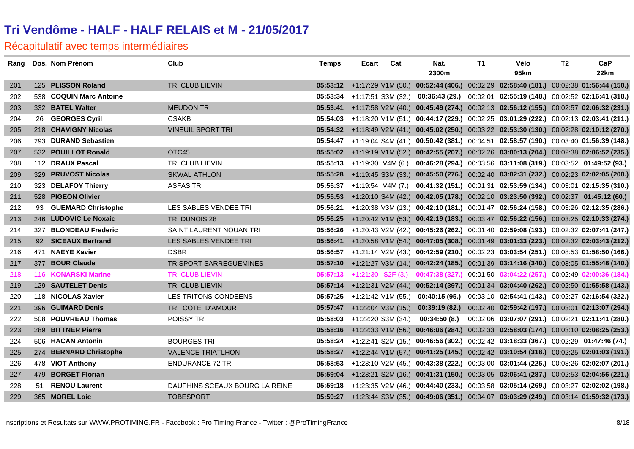|      | Rang Dos. Nom Prénom    | Club                           | <b>Temps</b> | Ecart | Cat                           | Nat.  | T1 | Vélo                                                                                                      | T <sub>2</sub> | CaP  |
|------|-------------------------|--------------------------------|--------------|-------|-------------------------------|-------|----|-----------------------------------------------------------------------------------------------------------|----------------|------|
|      |                         |                                |              |       |                               | 2300m |    | 95km                                                                                                      |                | 22km |
| 201. | 125 PLISSON Roland      | TRI CLUB LIEVIN                |              |       |                               |       |    | 05:53:12 +1:17:29 V1M (50.) 00:52:44 (406.) 00:02:29 02:58:40 (181.) 00:02:38 01:56:44 (150.)             |                |      |
| 202. | 538 COQUIN Marc Antoine |                                |              |       |                               |       |    | 05:53:34 +1:17:51 S3M (32.) 00:36:43 (29.) 00:02:01 02:55:19 (148.) 00:02:52 02:16:41 (318.)              |                |      |
| 203. | 332 BATEL Walter        | <b>MEUDON TRI</b>              |              |       |                               |       |    | 05:53:41 +1:17:58 V2M (40.) 00:45:49 (274.) 00:02:13 02:56:12 (155.) 00:02:57 02:06:32 (231.)             |                |      |
| 204. | 26 GEORGES Cyril        | <b>CSAKB</b>                   |              |       |                               |       |    | 05:54:03 +1:18:20 V1M (51.) 00:44:17 (229.) 00:02:25 03:01:29 (222.) 00:02:13 02:03:41 (211.)             |                |      |
| 205. | 218 CHAVIGNY Nicolas    | <b>VINEUIL SPORT TRI</b>       |              |       |                               |       |    | 05:54:32 +1:18:49 V2M (41.) 00:45:02 (250.) 00:03:22 02:53:30 (130.) 00:02:28 02:10:12 (270.)             |                |      |
| 206. | 293 DURAND Sebastien    |                                |              |       |                               |       |    | 05:54:47 +1:19:04 S4M (41.) 00:50:42 (381.) 00:04:51 02:58:57 (190.) 00:03:40 01:56:39 (148.)             |                |      |
| 207. | 532 POUILLOT Ronald     | OTC45                          |              |       |                               |       |    | 05:55:02 +1:19:19 V1M (52.) 00:42:55 (207.) 00:02:26 03:00:13 (204.) 00:02:38 02:06:52 (235.)             |                |      |
| 208. | 112 DRAUX Pascal        | TRI CLUB LIEVIN                |              |       |                               |       |    | 05:55:13 +1:19:30 V4M (6.) 00:46:28 (294.) 00:03:56 03:11:08 (319.) 00:03:52 01:49:52 (93.)               |                |      |
| 209. | 329 PRUVOST Nicolas     | <b>SKWAL ATHLON</b>            |              |       |                               |       |    | 05:55:28 +1:19:45 S3M (33.) 00:45:50 (276.) 00:02:40 03:02:31 (232.) 00:02:23 02:02:05 (200.)             |                |      |
| 210. | 323 DELAFOY Thierry     | <b>ASFAS TRI</b>               |              |       |                               |       |    | 05:55:37 +1:19:54 V4M (7.) 00:41:32 (151.) 00:01:31 02:53:59 (134.) 00:03:01 02:15:35 (310.)              |                |      |
| 211. | 528 PIGEON Olivier      |                                |              |       |                               |       |    | 05:55:53 +1:20:10 S4M (42.) 00:42:05 (178.) 00:02:10 03:23:50 (392.) 00:02:37 01:45:12 (60.)              |                |      |
| 212. | 93 GUEMARD Christophe   | LES SABLES VENDEE TRI          |              |       |                               |       |    | 05:56:21 +1:20:38 V3M (13.) 00:42:10 (181.) 00:01:47 02:56:24 (158.) 00:03:26 02:12:35 (286.)             |                |      |
| 213. | 246 LUDOVIC Le Noxaic   | TRI DUNOIS 28                  |              |       |                               |       |    | 05:56:25 +1:20:42 V1M (53.) 00:42:19 (183.) 00:03:47 02:56:22 (156.) 00:03:25 02:10:33 (274.)             |                |      |
| 214. | 327 BLONDEAU Frederic   | SAINT LAURENT NOUAN TRI        |              |       |                               |       |    | 05:56:26 +1:20:43 V2M (42.) 00:45:26 (262.) 00:01:40 02:59:08 (193.) 00:02:32 02:07:41 (247.)             |                |      |
| 215. | 92 SICEAUX Bertrand     | LES SABLES VENDEE TRI          |              |       |                               |       |    | 05:56:41 +1:20:58 V1M (54.) 00:47:05 (308.) 00:01:49 03:01:33 (223.) 00:02:32 02:03:43 (212.)             |                |      |
| 216. | 471 NAEYE Xavier        | <b>DSBR</b>                    |              |       |                               |       |    | 06:56:57 +1:21:14 V2M (43.) 00:42:59 (210.) 00:02:23 03:03:54 (251.) 00:08:53 01:58:50 (166.)             |                |      |
| 217. | 377 BOUR Claude         | <b>TRISPORT SARREGUEMINES</b>  |              |       |                               |       |    | 05:57:10 +1:21:27 V3M (14.) 00:42:24 (185.) 00:01:39 03:14:16 (340.) 00:03:05 01:55:48 (140.)             |                |      |
| 218. | 116 KONARSKI Marine     | <b>TRI CLUB LIEVIN</b>         |              |       |                               |       |    | $0.05:57:13$ $+1:21:30$ $S2F(3)$ $0.01:47:38(327)$ $0.01:50$ $0.3:04:22(257)$ $0.002:49$ $0.2:00:36(184)$ |                |      |
| 219. | 129 SAUTELET Denis      | TRI CLUB LIEVIN                |              |       |                               |       |    | 05:57:14 +1:21:31 V2M (44.) 00:52:14 (397.) 00:01:34 03:04:40 (262.) 00:02:50 01:55:58 (143.)             |                |      |
| 220. | 118 NICOLAS Xavier      | LES TRITONS CONDEENS           |              |       |                               |       |    | 05:57:25 +1:21:42 V1M (55.) 00:40:15 (95.) 00:03:10 02:54:41 (143.) 00:02:27 02:16:54 (322.)              |                |      |
| 221. | 396 GUIMARD Denis       | TRI COTE D'AMOUR               |              |       | $05:57:47$ +1:22:04 V3M (15.) |       |    | 00:39:19 (82.) 00:02:40 02:59:42 (197.) 00:03:01 02:13:07 (294.)                                          |                |      |
| 222. | 508 POUVREAU Thomas     | <b>POISSY TRI</b>              |              |       | $05:58:03 +1:22:20$ S3M (34.) |       |    | 00:34:50 (8.) 00:02:06 03:07:07 (291.) 00:02:21 02:11:41 (280.)                                           |                |      |
| 223. | 289 BITTNER Pierre      |                                |              |       |                               |       |    | 05:58:16 +1:22:33 V1M (56.) 00:46:06 (284.) 00:02:33 02:58:03 (174.) 00:03:10 02:08:25 (253.)             |                |      |
| 224. | 506 HACAN Antonin       | <b>BOURGES TRI</b>             |              |       |                               |       |    | 05:58:24 +1:22:41 S2M (15.) 00:46:56 (302.) 00:02:42 03:18:33 (367.) 00:02:29 01:47:46 (74.)              |                |      |
| 225. | 274 BERNARD Christophe  | <b>VALENCE TRIATLHON</b>       |              |       |                               |       |    | 05:58:27 +1:22:44 V1M (57.) 00:41:25 (145.) 00:02:42 03:10:54 (318.) 00:02:25 02:01:03 (191.)             |                |      |
| 226. | 478 VIOT Anthony        | <b>ENDURANCE 72 TRI</b>        |              |       |                               |       |    | 05:58:53 +1:23:10 V2M (45.) 00:43:38 (222.) 00:03:00 03:01:44 (225.) 00:08:26 02:02:07 (201.)             |                |      |
| 227. | 479 BORGET Florian      |                                |              |       |                               |       |    | 05:59:04 +1:23:21 S2M (16.) 00:41:31 (150.) 00:03:05 03:06:41 (287.) 00:02:53 02:04:56 (221.)             |                |      |
| 228. | 51 RENOU Laurent        | DAUPHINS SCEAUX BOURG LA REINE |              |       |                               |       |    | 05:59:18 +1:23:35 V2M (46.) 00:44:40 (233.) 00:03:58 03:05:14 (269.) 00:03:27 02:02:02 (198.)             |                |      |
| 229. | 365 MOREL Loic          | <b>TOBESPORT</b>               |              |       |                               |       |    | 05:59:27 +1:23:44 S3M (35.) 00:49:06 (351.) 00:04:07 03:03:29 (249.) 00:03:14 01:59:32 (173.)             |                |      |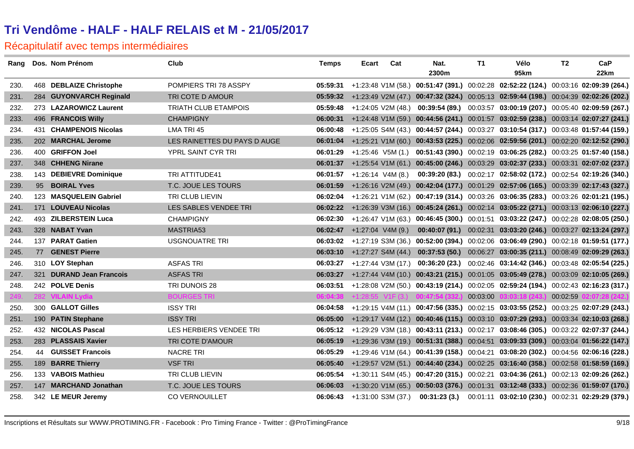|      | Rang Dos. Nom Prénom     | Club                         | <b>Temps</b> | Ecart                             | Cat                           | Nat.                                                | T1 | Vélo                                                                                          | T <sub>2</sub> | CaP  |
|------|--------------------------|------------------------------|--------------|-----------------------------------|-------------------------------|-----------------------------------------------------|----|-----------------------------------------------------------------------------------------------|----------------|------|
|      |                          |                              |              |                                   |                               | 2300m                                               |    | 95km                                                                                          |                | 22km |
| 230. | 468 DEBLAIZE Christophe  | POMPIERS TRI 78 ASSPY        |              |                                   |                               |                                                     |    | 05:59:31 +1:23:48 V1M (58.) 00:51:47 (391.) 00:02:28 02:52:22 (124.) 00:03:16 02:09:39 (264.) |                |      |
| 231. | 284 GUYONVARCH Reginald  | TRI COTE D AMOUR             |              |                                   |                               |                                                     |    | 05:59:32 +1:23:49 V2M (47.) 00:47:32 (324.) 00:05:13 02:59:44 (198.) 00:04:39 02:02:26 (202.) |                |      |
| 232. | 273 LAZAROWICZ Laurent   | <b>TRIATH CLUB ETAMPOIS</b>  |              |                                   |                               |                                                     |    | 05:59:48 +1:24:05 V2M (48.) 00:39:54 (89.) 00:03:57 03:00:19 (207.) 00:05:40 02:09:59 (267.)  |                |      |
| 233. | 496 FRANCOIS Willy       | <b>CHAMPIGNY</b>             |              |                                   |                               |                                                     |    | 06:00:31 +1:24:48 V1M (59.) 00:44:56 (241.) 00:01:57 03:02:59 (238.) 00:03:14 02:07:27 (241.) |                |      |
| 234. | 431 CHAMPENOIS Nicolas   | LMA TRI 45                   |              |                                   |                               |                                                     |    | 06:00:48 +1:25:05 S4M (43.) 00:44:57 (244.) 00:03:27 03:10:54 (317.) 00:03:48 01:57:44 (159.) |                |      |
| 235. | 202 MARCHAL Jerome       | LES RAINETTES DU PAYS D AUGE |              |                                   |                               |                                                     |    | 06:01:04 +1:25:21 V1M (60.) 00:43:53 (225.) 00:02:06 02:59:56 (201.) 00:02:20 02:12:52 (290.) |                |      |
| 236. | 400 GRIFFON Joel         | YPRL SAINT CYR TRI           | 06:01:29     |                                   |                               |                                                     |    | +1:25:46 V5M (1.) 00:51:43 (390.) 00:02:19 03:06:25 (282.) 00:03:25 01:57:40 (158.)           |                |      |
| 237. | 348 CHHENG Nirane        |                              |              |                                   |                               |                                                     |    | 06:01:37 +1:25:54 V1M (61.) 00:45:00 (246.) 00:03:29 03:02:37 (233.) 00:03:31 02:07:02 (237.) |                |      |
| 238. | 143 DEBIEVRE Dominique   | TRI ATTITUDE41               | 06:01:57     |                                   | +1:26:14 V4M (8.)             |                                                     |    | 00:39:20 (83.) 00:02:17 02:58:02 (172.) 00:02:54 02:19:26 (340.)                              |                |      |
| 239. | 95 BOIRAL Yves           | T.C. JOUE LES TOURS          |              |                                   |                               |                                                     |    | 06:01:59 +1:26:16 V2M (49.) 00:42:04 (177.) 00:01:29 02:57:06 (165.) 00:03:39 02:17:43 (327.) |                |      |
| 240. | 123 MASQUELEIN Gabriel   | <b>TRI CLUB LIEVIN</b>       |              |                                   |                               |                                                     |    | 06:02:04 +1:26:21 V1M (62.) 00:47:19 (314.) 00:03:26 03:06:35 (283.) 00:03:26 02:01:21 (195.) |                |      |
| 241. | 171 LOUVEAU Nicolas      | LES SABLES VENDEE TRI        |              |                                   |                               |                                                     |    | 06:02:22 +1:26:39 V3M (16.) 00:45:24 (261.) 00:02:14 03:05:22 (271.) 00:03:13 02:06:10 (227.) |                |      |
| 242. | 493 ZILBERSTEIN Luca     | <b>CHAMPIGNY</b>             |              |                                   |                               |                                                     |    | 06:02:30 +1:26:47 V1M (63.) 00:46:45 (300.) 00:01:51 03:03:22 (247.) 00:02:28 02:08:05 (250.) |                |      |
| 243. | 328 NABAT Yvan           | MASTRIA53                    |              | <b>06:02:47</b> +1:27:04 V4M (9.) |                               |                                                     |    | 00:40:07 (91.) 00:02:31 03:03:20 (246.) 00:03:27 02:13:24 (297.)                              |                |      |
| 244. | 137 PARAT Gatien         | USGNOUATRE TRI               |              |                                   |                               |                                                     |    | 06:03:02 +1:27:19 S3M (36.) 00:52:00 (394.) 00:02:06 03:06:49 (290.) 00:02:18 01:59:51 (177.) |                |      |
| 245. | 77 GENEST Pierre         |                              |              |                                   |                               |                                                     |    | 06:03:10 +1:27:27 S4M (44.) 00:37:53 (50.) 00:06:27 03:00:35 (211.) 00:08:49 02:09:29 (263.)  |                |      |
| 246. | 310 LOY Stephan          | <b>ASFAS TRI</b>             |              |                                   |                               |                                                     |    | 06:03:27 +1:27:44 V3M (17.) 00:36:20 (23.) 00:02:46 03:14:42 (346.) 00:03:48 02:05:54 (225.)  |                |      |
| 247. | 321 DURAND Jean Francois | <b>ASFAS TRI</b>             |              |                                   |                               |                                                     |    | 06:03:27 +1:27:44 V4M (10.) 00:43:21 (215.) 00:01:05 03:05:49 (278.) 00:03:09 02:10:05 (269.) |                |      |
| 248. | 242 POLVE Denis          | TRI DUNOIS 28                | 06:03:51     |                                   |                               |                                                     |    | +1:28:08 V2M (50.) 00:43:19 (214.) 00:02:05 02:59:24 (194.) 00:02:43 02:16:23 (317.)          |                |      |
| 249. | 282 VILAIN Lydia         | <b>BOURGES TRI</b>           |              |                                   |                               | 06:04:38 +1:28:55 V1F (3.) 00:47:54 (332.) 00:03:00 |    | 03:03:18 (243.) 00:02:59 02:07:28 (242.)                                                      |                |      |
| 250. | 300 GALLOT Gilles        | <b>ISSY TRI</b>              | 06:04:58     |                                   |                               |                                                     |    | +1:29:15 V4M (11.) 00:47:56 (335.) 00:02:15 03:03:55 (252.) 00:03:25 02:07:29 (243.)          |                |      |
| 251. | 190 PATIN Stephane       | <b>ISSY TRI</b>              |              |                                   |                               |                                                     |    | 06:05:00 +1:29:17 V4M (12.) 00:40:46 (115.) 00:03:10 03:07:29 (293.) 00:03:34 02:10:03 (268.) |                |      |
| 252. | 432 NICOLAS Pascal       | LES HERBIERS VENDEE TRI      |              |                                   |                               |                                                     |    | 06:05:12 +1:29:29 V3M (18.) 00:43:11 (213.) 00:02:17 03:08:46 (305.) 00:03:22 02:07:37 (244.) |                |      |
| 253. | 283 PLASSAIS Xavier      | TRI COTE D'AMOUR             |              |                                   |                               |                                                     |    | 06:05:19 +1:29:36 V3M (19.) 00:51:31 (388.) 00:04:51 03:09:33 (309.) 00:03:04 01:56:22 (147.) |                |      |
| 254. | 44 GUISSET Francois      | <b>NACRE TRI</b>             | 06:05:29     |                                   |                               |                                                     |    | +1:29:46 V1M (64.) 00:41:39 (158.) 00:04:21 03:08:20 (302.) 00:04:56 02:06:16 (228.)          |                |      |
| 255. | 189 BARRE Thierry        | <b>VSF TRI</b>               |              |                                   |                               |                                                     |    | 06:05:40 +1:29:57 V2M (51.) 00:44:40 (234.) 00:02:25 03:16:40 (358.) 00:02:58 01:58:59 (169.) |                |      |
| 256. | 133 VABOIS Mathieu       | TRI CLUB LIEVIN              |              |                                   |                               |                                                     |    | 06:05:54 +1:30:11 S4M (45.) 00:47:20 (315.) 00:02:21 03:04:36 (261.) 00:02:13 02:09:26 (262.) |                |      |
| 257. | 147 MARCHAND Jonathan    | T.C. JOUE LES TOURS          |              |                                   |                               |                                                     |    | 06:06:03 +1:30:20 V1M (65.) 00:50:03 (376.) 00:01:31 03:12:48 (333.) 00:02:36 01:59:07 (170.) |                |      |
| 258. | 342 LE MEUR Jeremy       | <b>CO VERNOUILLET</b>        |              |                                   | $06:06:43$ +1:31:00 S3M (37.) |                                                     |    | 00:31:23 (3.) 00:01:11 03:02:10 (230.) 00:02:31 02:29:29 (379.)                               |                |      |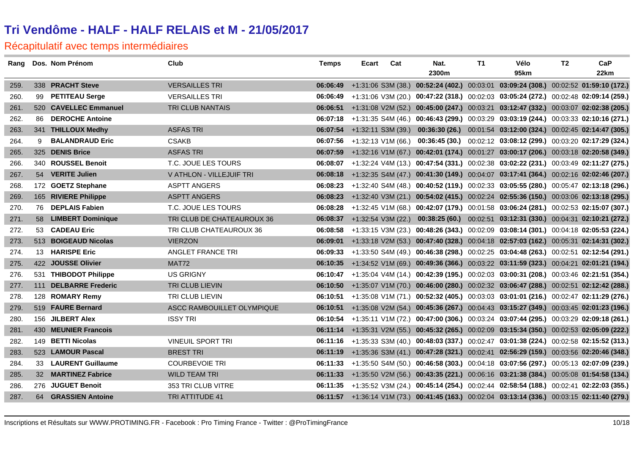|      |    | Rang Dos. Nom Prénom   | Club                       | <b>Temps</b> | Ecart | Cat | Nat.  | T1 | Vélo                                                                                          | T <sub>2</sub> | CaP  |
|------|----|------------------------|----------------------------|--------------|-------|-----|-------|----|-----------------------------------------------------------------------------------------------|----------------|------|
|      |    |                        |                            |              |       |     | 2300m |    | 95km                                                                                          |                | 22km |
| 259. |    | 338 PRACHT Steve       | <b>VERSAILLES TRI</b>      |              |       |     |       |    | 06:06:49 +1:31:06 S3M (38.) 00:52:24 (402.) 00:03:01 03:09:24 (308.) 00:02:52 01:59:10 (172.) |                |      |
| 260. | 99 | <b>PETITEAU Serge</b>  | <b>VERSAILLES TRI</b>      |              |       |     |       |    | 06:06:49 +1:31:06 V3M (20.) 00:47:22 (318.) 00:02:03 03:05:24 (272.) 00:02:48 02:09:14 (259.) |                |      |
| 261. |    | 520 CAVELLEC Emmanuel  | TRI CLUB NANTAIS           |              |       |     |       |    | 06:06:51 +1:31:08 V2M (52.) 00:45:00 (247.) 00:03:21 03:12:47 (332.) 00:03:07 02:02:38 (205.) |                |      |
| 262. |    | 86 DEROCHE Antoine     |                            |              |       |     |       |    | 06:07:18 +1:31:35 S4M (46.) 00:46:43 (299.) 00:03:29 03:03:19 (244.) 00:03:33 02:10:16 (271.) |                |      |
| 263. |    | 341 THILLOUX Medhy     | <b>ASFAS TRI</b>           |              |       |     |       |    | 06:07:54 +1:32:11 S3M (39.) 00:36:30 (26.) 00:01:54 03:12:00 (324.) 00:02:45 02:14:47 (305.)  |                |      |
| 264. | 9  | <b>BALANDRAUD Eric</b> | <b>CSAKB</b>               |              |       |     |       |    | 06:07:56 +1:32:13 V1M (66.) 00:36:45 (30.) 00:02:12 03:08:12 (299.) 00:03:20 02:17:29 (324.)  |                |      |
| 265. |    | 325 DENIS Brice        | <b>ASFAS TRI</b>           |              |       |     |       |    | 06:07:59 +1:32:16 V1M (67.) 00:42:01 (174.) 00:01:27 03:00:17 (206.) 00:03:18 02:20:58 (349.) |                |      |
| 266. |    | 340 ROUSSEL Benoit     | T.C. JOUE LES TOURS        |              |       |     |       |    | 06:08:07 +1:32:24 V4M (13.) 00:47:54 (331.) 00:02:38 03:02:22 (231.) 00:03:49 02:11:27 (275.) |                |      |
| 267. |    | 54 VERITE Julien       | V ATHLON - VILLEJUIF TRI   |              |       |     |       |    | 06:08:18 +1:32:35 S4M (47.) 00:41:30 (149.) 00:04:07 03:17:41 (364.) 00:02:16 02:02:46 (207.) |                |      |
| 268. |    | 172 GOETZ Stephane     | ASPTT ANGERS               |              |       |     |       |    | 06:08:23 +1:32:40 S4M (48.) 00:40:52 (119.) 00:02:33 03:05:55 (280.) 00:05:47 02:13:18 (296.) |                |      |
| 269. |    | 165 RIVIERE Philippe   | <b>ASPTT ANGERS</b>        |              |       |     |       |    | 06:08:23 +1:32:40 V3M (21.) 00:54:02 (415.) 00:02:24 02:55:36 (150.) 00:03:06 02:13:18 (295.) |                |      |
| 270. |    | 76 DEPLAIS Fabien      | T.C. JOUE LES TOURS        |              |       |     |       |    | 06:08:28 +1:32:45 V1M (68.) 00:42:07 (179.) 00:01:58 03:06:24 (281.) 00:02:53 02:15:07 (307.) |                |      |
| 271. |    | 58 LIMBERT Dominique   | TRI CLUB DE CHATEAUROUX 36 |              |       |     |       |    | 06:08:37 +1:32:54 V3M (22.) 00:38:25 (60.) 00:02:51 03:12:31 (330.) 00:04:31 02:10:21 (272.)  |                |      |
| 272. |    | 53 CADEAU Eric         | TRI CLUB CHATEAUROUX 36    | 06:08:58     |       |     |       |    | +1:33:15 V3M (23.) 00:48:26 (343.) 00:02:09 03:08:14 (301.) 00:04:18 02:05:53 (224.)          |                |      |
| 273. |    | 513 BOIGEAUD Nicolas   | <b>VIERZON</b>             |              |       |     |       |    | 06:09:01 +1:33:18 V2M (53.) 00:47:40 (328.) 00:04:18 02:57:03 (162.) 00:05:31 02:14:31 (302.) |                |      |
| 274. |    | 13 HARISPE Eric        | ANGLET FRANCE TRI          |              |       |     |       |    | 06:09:33 +1:33:50 S4M (49.) 00:46:38 (298.) 00:02:25 03:04:48 (263.) 00:02:51 02:12:54 (291.) |                |      |
| 275. |    | 422 JOUSSE Olivier     | MAT72                      |              |       |     |       |    | 06:10:35 +1:34:52 V1M (69.) 00:49:36 (366.) 00:03:22 03:11:59 (323.) 00:04:21 02:01:21 (194.) |                |      |
| 276. |    | 531 THIBODOT Philippe  | <b>US GRIGNY</b>           |              |       |     |       |    | 06:10:47 +1:35:04 V4M (14.) 00:42:39 (195.) 00:02:03 03:00:31 (208.) 00:03:46 02:21:51 (354.) |                |      |
| 277. |    | 111 DELBARRE Frederic  | TRI CLUB LIEVIN            |              |       |     |       |    | 06:10:50 +1:35:07 V1M (70.) 00:46:00 (280.) 00:02:32 03:06:47 (288.) 00:02:51 02:12:42 (288.) |                |      |
| 278. |    | 128 ROMARY Remy        | TRI CLUB LIEVIN            |              |       |     |       |    | 06:10:51 +1:35:08 V1M (71.) 00:52:32 (405.) 00:03:03 03:01:01 (216.) 00:02:47 02:11:29 (276.) |                |      |
| 279. |    | 519 FAURE Bernard      | ASCC RAMBOUILLET OLYMPIQUE |              |       |     |       |    | 06:10:51 +1:35:08 V2M (54.) 00:45:36 (267.) 00:04:43 03:15:27 (349.) 00:03:45 02:01:23 (196.) |                |      |
| 280. |    | 156 JILBERT Alex       | <b>ISSY TRI</b>            |              |       |     |       |    | 06:10:54 +1:35:11 V1M (72.) 00:47:00 (306.) 00:03:24 03:07:44 (295.) 00:03:29 02:09:18 (261.) |                |      |
| 281. |    | 430 MEUNIER Francois   |                            |              |       |     |       |    | 06:11:14 +1:35:31 V2M (55.) 00:45:32 (265.) 00:02:09 03:15:34 (350.) 00:02:53 02:05:09 (222.) |                |      |
| 282. |    | 149 BETTI Nicolas      | <b>VINEUIL SPORT TRI</b>   |              |       |     |       |    | 06:11:16 +1:35:33 S3M (40.) 00:48:03 (337.) 00:02:47 03:01:38 (224.) 00:02:58 02:15:52 (313.) |                |      |
| 283. |    | 523 LAMOUR Pascal      | <b>BREST TRI</b>           |              |       |     |       |    | 06:11:19 +1:35:36 S3M (41.) 00:47:28 (321.) 00:02:41 02:56:29 (159.) 00:03:56 02:20:46 (348.) |                |      |
| 284. |    | 33 LAURENT Guillaume   | <b>COURBEVOIE TRI</b>      |              |       |     |       |    | 06:11:33 +1:35:50 S4M (50.) 00:46:58 (303.) 00:04:18 03:07:56 (297.) 00:05:13 02:07:09 (239.) |                |      |
| 285. |    | 32 MARTINEZ Fabrice    | <b>WILD TEAM TRI</b>       |              |       |     |       |    | 06:11:33 +1:35:50 V2M (56.) 00:43:35 (221.) 00:06:16 03:21:38 (384.) 00:05:08 01:54:58 (134.) |                |      |
| 286. |    | 276 JUGUET Benoit      | 353 TRI CLUB VITRE         |              |       |     |       |    | 06:11:35 +1:35:52 V3M (24.) 00:45:14 (254.) 00:02:44 02:58:54 (188.) 00:02:41 02:22:03 (355.) |                |      |
| 287. |    | 64 GRASSIEN Antoine    | <b>TRI ATTITUDE 41</b>     |              |       |     |       |    | 06:11:57 +1:36:14 V1M (73.) 00:41:45 (163.) 00:02:04 03:13:14 (336.) 00:03:15 02:11:40 (279.) |                |      |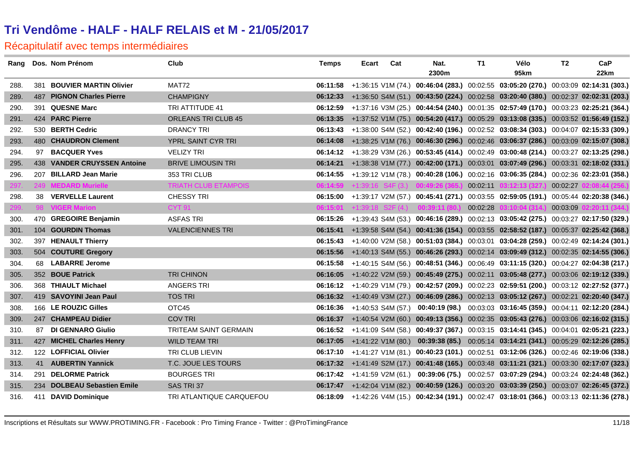|      | Rang Dos. Nom Prénom        | Club                        | <b>Temps</b> | Ecart                         | Cat | Nat.                                                                                          | T1       | Vélo                                                             | T2 | CaP  |
|------|-----------------------------|-----------------------------|--------------|-------------------------------|-----|-----------------------------------------------------------------------------------------------|----------|------------------------------------------------------------------|----|------|
|      |                             |                             |              |                               |     | 2300m                                                                                         |          | 95km                                                             |    | 22km |
| 288. | 381 BOUVIER MARTIN Olivier  | MAT72                       |              |                               |     | 06:11:58 +1:36:15 V1M (74.) 00:46:04 (283.) 00:02:55 03:05:20 (270.) 00:03:09 02:14:31 (303.) |          |                                                                  |    |      |
| 289. | 487 PIGNON Charles Pierre   | <b>CHAMPIGNY</b>            |              |                               |     | 06:12:33 +1:36:50 S4M (51.) 00:43:50 (224.) 00:02:58 03:20:40 (380.) 00:02:37 02:02:31 (203.) |          |                                                                  |    |      |
| 290. | 391 QUESNE Marc             | TRI ATTITUDE 41             |              |                               |     | 06:12:59 +1:37:16 V3M (25.) 00:44:54 (240.) 00:01:35 02:57:49 (170.) 00:03:23 02:25:21 (364.) |          |                                                                  |    |      |
| 291. | 424 PARC Pierre             | <b>ORLEANS TRI CLUB 45</b>  |              |                               |     | 06:13:35 +1:37:52 V1M (75.) 00:54:20 (417.) 00:05:29 03:13:08 (335.) 00:03:52 01:56:49 (152.) |          |                                                                  |    |      |
| 292. | 530 BERTH Cedric            | <b>DRANCY TRI</b>           |              |                               |     | 06:13:43 +1:38:00 S4M (52.) 00:42:40 (196.) 00:02:52 03:08:34 (303.) 00:04:07 02:15:33 (309.) |          |                                                                  |    |      |
| 293. | 480 CHAUDRON Clement        | YPRL SAINT CYR TRI          |              |                               |     | 06:14:08 +1:38:25 V1M (76.) 00:46:30 (296.) 00:02:46 03:06:37 (286.) 00:03:09 02:15:07 (308.) |          |                                                                  |    |      |
| 294. | 97 BACQUER Yves             | <b>VELIZY TRI</b>           |              |                               |     | 06:14:12 +1:38:29 V3M (26.) 00:53:45 (414.) 00:02:49 03:00:48 (214.) 00:03:27 02:13:25 (298.) |          |                                                                  |    |      |
| 295. | 438 VANDER CRUYSSEN Antoine | <b>BRIVE LIMOUSIN TRI</b>   |              |                               |     | 06:14:21 +1:38:38 V1M (77.) 00:42:00 (171.) 00:03:01 03:07:49 (296.) 00:03:31 02:18:02 (331.) |          |                                                                  |    |      |
| 296. | 207 BILLARD Jean Marie      | 353 TRI CLUB                |              |                               |     | 06:14:55 +1:39:12 V1M (78.) 00:40:28 (106.) 00:02:16 03:06:35 (284.) 00:02:36 02:23:01 (358.) |          |                                                                  |    |      |
| 297. | 249 MEDARD Murielle         | <b>TRIATH CLUB ETAMPOIS</b> |              |                               |     | $06:14:59$ +1:39:16 S4F (3.) 00:49:26 (365.)                                                  |          | 00:02:11 03:12:13 (327.) 00:02:27 02:08:44 (256.)                |    |      |
| 298. | 38 VERVELLE Laurent         | <b>CHESSY TRI</b>           |              |                               |     | 06:15:00 +1:39:17 V2M (57.) 00:45:41 (271.) 00:03:55 02:59:05 (191.) 00:05:44 02:20:38 (346.) |          |                                                                  |    |      |
| 299. | 98 VIGER Marion             | <b>CYT 91</b>               |              |                               |     | $06:15:01$ +1:39:18 S2F (4.) 00:39:11 (80.)                                                   | 00:02:28 | 03:10:04 (314.) 00:03:09 02:20:11 (344.)                         |    |      |
| 300. | 470 GREGOIRE Benjamin       | <b>ASFAS TRI</b>            |              |                               |     | 06:15:26 +1:39:43 S4M (53.) 00:46:16 (289.) 00:02:13 03:05:42 (275.) 00:03:27 02:17:50 (329.) |          |                                                                  |    |      |
| 301. | 104 GOURDIN Thomas          | <b>VALENCIENNES TRI</b>     | 06:15:41     |                               |     | +1:39:58 S4M (54.) 00:41:36 (154.) 00:03:55 02:58:52 (187.) 00:05:37 02:25:42 (368.)          |          |                                                                  |    |      |
| 302. | 397 HENAULT Thierry         |                             |              |                               |     | 06:15:43 +1:40:00 V2M (58.) 00:51:03 (384.) 00:03:01 03:04:28 (259.) 00:02:49 02:14:24 (301.) |          |                                                                  |    |      |
| 303. | 504 COUTURE Gregory         |                             |              |                               |     | 06:15:56 +1:40:13 S4M (55.) 00:46:26 (293.) 00:02:14 03:09:49 (312.) 00:02:35 02:14:55 (306.) |          |                                                                  |    |      |
| 304. | 68 LABARRE Jerome           |                             |              |                               |     | 06:15:58 +1:40:15 S4M (56.) 00:48:51 (346.) 00:06:49 03:11:15 (320.) 00:04:27 02:04:38 (217.) |          |                                                                  |    |      |
| 305. | 352 BOUE Patrick            | <b>TRI CHINON</b>           |              |                               |     | 06:16:05 +1:40:22 V2M (59.) 00:45:49 (275.) 00:02:11 03:05:48 (277.) 00:03:06 02:19:12 (339.) |          |                                                                  |    |      |
| 306. | 368 THIAULT Michael         | <b>ANGERS TRI</b>           |              |                               |     | 06:16:12 +1:40:29 V1M (79.) 00:42:57 (209.) 00:02:23 02:59:51 (200.) 00:03:12 02:27:52 (377.) |          |                                                                  |    |      |
| 307. | 419 SAVOYINI Jean Paul      | <b>TOS TRI</b>              |              |                               |     | 06:16:32 +1:40:49 V3M (27.) 00:46:09 (286.) 00:02:13 03:05:12 (267.) 00:02:21 02:20:40 (347.) |          |                                                                  |    |      |
| 308. | 166 LE ROUZIC Gilles        | OTC45                       |              | $06:16:36$ +1:40:53 S4M (57.) |     |                                                                                               |          | 00:40:19 (98.) 00:03:03 03:16:45 (359.) 00:04:11 02:12:20 (284.) |    |      |
| 309. | 247 CHAMPEAU Didier         | <b>COV TRI</b>              |              |                               |     | 06:16:37 +1:40:54 V2M (60.) 00:49:13 (356.) 00:02:35 03:05:43 (276.) 00:03:06 02:16:02 (315.) |          |                                                                  |    |      |
| 310. | 87 DI GENNARO Giulio        | TRITEAM SAINT GERMAIN       |              |                               |     | 06:16:52 +1:41:09 S4M (58.) 00:49:37 (367.) 00:03:15 03:14:41 (345.) 00:04:01 02:05:21 (223.) |          |                                                                  |    |      |
| 311. | 427 MICHEL Charles Henry    | <b>WILD TEAM TRI</b>        |              |                               |     | 06:17:05 +1:41:22 V1M (80.) 00:39:38 (85.) 00:05:14 03:14:21 (341.) 00:05:29 02:12:26 (285.)  |          |                                                                  |    |      |
| 312. | 122 LOFFICIAL Olivier       | TRI CLUB LIEVIN             |              |                               |     | 06:17:10 +1:41:27 V1M (81.) 00:40:23 (101.) 00:02:51 03:12:06 (326.) 00:02:46 02:19:06 (338.) |          |                                                                  |    |      |
| 313. | 41 AUBERTIN Yannick         | T.C. JOUE LES TOURS         |              |                               |     | 06:17:32 +1:41:49 S2M (17.) 00:41:48 (165.) 00:03:48 03:11:21 (321.) 00:03:30 02:17:07 (323.) |          |                                                                  |    |      |
| 314. | 291 DELORME Patrick         | <b>BOURGES TRI</b>          |              |                               |     | 06:17:42 +1:41:59 V2M (61.) 00:39:06 (75.) 00:02:57 03:07:29 (294.) 00:03:24 02:24:48 (362.)  |          |                                                                  |    |      |
| 315. | 234 DOLBEAU Sebastien Emile | SAS TRI 37                  |              |                               |     | 06:17:47 +1:42:04 V1M (82.) 00:40:59 (126.) 00:03:20 03:03:39 (250.) 00:03:07 02:26:45 (372.) |          |                                                                  |    |      |
| 316. | 411 DAVID Dominique         | TRI ATLANTIQUE CARQUEFOU    |              |                               |     | 06:18:09 +1:42:26 V4M (15.) 00:42:34 (191.) 00:02:47 03:18:01 (366.) 00:03:13 02:11:36 (278.) |          |                                                                  |    |      |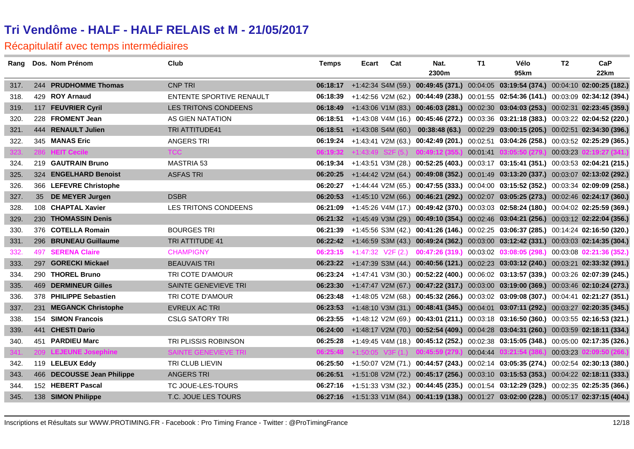|      | Rang Dos. Nom Prénom        | Club                        | <b>Temps</b> | Ecart | Cat | Nat.                                         | T1 | Vélo                                                                                          | T2 | CaP                      |
|------|-----------------------------|-----------------------------|--------------|-------|-----|----------------------------------------------|----|-----------------------------------------------------------------------------------------------|----|--------------------------|
|      |                             |                             |              |       |     | 2300m                                        |    | 95km                                                                                          |    | 22km                     |
| 317. | 244 PRUDHOMME Thomas        | <b>CNP TRI</b>              |              |       |     |                                              |    | 06:18:17 +1:42:34 S4M (59.) 00:49:45 (371.) 00:04:05 03:19:54 (374.) 00:04:10 02:00:25 (182.) |    |                          |
| 318. | 429 ROY Arnaud              | ENTENTE SPORTIVE RENAULT    |              |       |     |                                              |    | 06:18:39 +1:42:56 V2M (62.) 00:44:49 (238.) 00:01:55 02:54:36 (141.) 00:03:09 02:34:12 (394.) |    |                          |
| 319. | 117 FEUVRIER Cyril          | LES TRITONS CONDEENS        |              |       |     |                                              |    | 06:18:49 +1:43:06 V1M (83.) 00:46:03 (281.) 00:02:30 03:04:03 (253.) 00:02:31 02:23:45 (359.) |    |                          |
| 320. | 228 FROMENT Jean            | AS GIEN NATATION            |              |       |     |                                              |    | 06:18:51 +1:43:08 V4M (16.) 00:45:46 (272.) 00:03:36 03:21:18 (383.) 00:03:22 02:04:52 (220.) |    |                          |
| 321. | 444 RENAULT Julien          | TRI ATTITUDE41              |              |       |     |                                              |    | 06:18:51 +1:43:08 S4M (60.) 00:38:48 (63.) 00:02:29 03:00:15 (205.) 00:02:51 02:34:30 (396.)  |    |                          |
| 322. | 345 MANAS Eric              | <b>ANGERS TRI</b>           |              |       |     |                                              |    | 06:19:24 +1:43:41 V2M (63.) 00:42:49 (201.) 00:02:51 03:04:26 (258.) 00:03:52 02:25:29 (365.) |    |                          |
| 323. | 286 HEIT Cecile             | <b>TCC</b>                  |              |       |     |                                              |    | 06:19:32 +1:43:49 S2F (5.) 00:49:12 (355.) 00:01:41 03:05:50 (279.) 00:03:23 02:19:27 (341.)  |    |                          |
| 324. | 219 GAUTRAIN Bruno          | <b>MASTRIA 53</b>           |              |       |     |                                              |    | 06:19:34 +1:43:51 V3M (28.) 00:52:25 (403.) 00:03:17 03:15:41 (351.) 00:03:53 02:04:21 (215.) |    |                          |
| 325. | 324 ENGELHARD Benoist       | <b>ASFAS TRI</b>            | 06:20:25     |       |     |                                              |    | +1:44:42 V2M (64.) 00:49:08 (352.) 00:01:49 03:13:20 (337.) 00:03:07 02:13:02 (292.)          |    |                          |
| 326. | 366 LEFEVRE Christophe      |                             |              |       |     |                                              |    | 06:20:27 +1:44:44 V2M (65.) 00:47:55 (333.) 00:04:00 03:15:52 (352.) 00:03:34 02:09:09 (258.) |    |                          |
| 327. | 35 DE MEYER Jurgen          | <b>DSBR</b>                 |              |       |     |                                              |    | 06:20:53 +1:45:10 V2M (66.) 00:46:21 (292.) 00:02:07 03:05:25 (273.) 00:02:46 02:24:17 (360.) |    |                          |
| 328. | 108 CHAPTAL Xavier          | LES TRITONS CONDEENS        |              |       |     |                                              |    | 06:21:09 +1:45:26 V4M (17.) 00:49:42 (370.) 00:03:03 02:58:24 (180.) 00:04:02 02:25:59 (369.) |    |                          |
| 329. | 230 THOMASSIN Denis         |                             |              |       |     |                                              |    | 06:21:32 +1:45:49 V3M (29.) 00:49:10 (354.) 00:02:46 03:04:21 (256.) 00:03:12 02:22:04 (356.) |    |                          |
| 330. | 376 COTELLA Romain          | <b>BOURGES TRI</b>          |              |       |     |                                              |    | 06:21:39 +1:45:56 S3M (42.) 00:41:26 (146.) 00:02:25 03:06:37 (285.) 00:14:24 02:16:50 (320.) |    |                          |
| 331. | 296 BRUNEAU Guillaume       | TRI ATTITUDE 41             |              |       |     |                                              |    | 06:22:42 +1:46:59 S3M (43.) 00:49:24 (362.) 00:03:00 03:12:42 (331.) 00:03:03 02:14:35 (304.) |    |                          |
| 332. | <b>497 SERENA Claire</b>    | <b>CHAMPIGNY</b>            |              |       |     |                                              |    | 06:23:15 +1:47:32 V2F (2.) 00:47:26 (319.) 00:03:02 03:08:05 (298.) 00:03:08 02:21:36 (352.)  |    |                          |
| 333. | 297 GORECKI Mickael         | <b>BEAUVAIS TRI</b>         |              |       |     |                                              |    | 06:23:22 +1:47:39 S3M (44.) 00:40:56 (121.) 00:02:23 03:03:12 (240.) 00:03:21 02:33:32 (391.) |    |                          |
| 334. | 290 THOREL Bruno            | TRI COTE D'AMOUR            |              |       |     |                                              |    | 06:23:24 +1:47:41 V3M (30.) 00:52:22 (400.) 00:06:02 03:13:57 (339.) 00:03:26 02:07:39 (245.) |    |                          |
| 335. | <b>469 DERMINEUR Gilles</b> | SAINTE GENEVIEVE TRI        |              |       |     |                                              |    | 06:23:30 +1:47:47 V2M (67.) 00:47:22 (317.) 00:03:00 03:19:00 (369.) 00:03:46 02:10:24 (273.) |    |                          |
| 336. | 378 PHILIPPE Sebastien      | TRI COTE D'AMOUR            |              |       |     |                                              |    | 06:23:48 +1:48:05 V2M (68.) 00:45:32 (266.) 00:03:02 03:09:08 (307.) 00:04:41 02:21:27 (351.) |    |                          |
| 337. | 231 MEGANCK Christophe      | <b>EVREUX AC TRI</b>        |              |       |     |                                              |    | 06:23:53 +1:48:10 V3M (31.) 00:48:41 (345.) 00:04:01 03:07:11 (292.) 00:03:27 02:20:35 (345.) |    |                          |
| 338. | 154 SIMON Francois          | <b>CSLG SATORY TRI</b>      |              |       |     |                                              |    | 06:23:55 +1:48:12 V2M (69.) 00:43:01 (211.) 00:03:18 03:16:50 (360.) 00:03:55 02:16:53 (321.) |    |                          |
| 339. | 441 CHESTI Dario            |                             |              |       |     |                                              |    | 06:24:00 +1:48:17 V2M (70.) 00:52:54 (409.) 00:04:28 03:04:31 (260.) 00:03:59 02:18:11 (334.) |    |                          |
| 340. | 451 PARDIEU Marc            | TRI PLISSIS ROBINSON        |              |       |     |                                              |    | 06:25:28 +1:49:45 V4M (18.) 00:45:12 (252.) 00:02:38 03:15:05 (348.) 00:05:00 02:17:35 (326.) |    |                          |
| 341. | 209 LEJEUNE Josephine       | <b>SAINTE GENEVIEVE TRI</b> |              |       |     | $06:25:48$ +1:50:05 V3F (1.) 00:45:59 (279.) |    | 00:04:44 03:21:54 (386.)                                                                      |    | 00:03:23 02:09:50 (266.) |
| 342. | 119 LELEUX Eddy             | <b>TRI CLUB LIEVIN</b>      |              |       |     |                                              |    | 06:25:50 +1:50:07 V2M (71.) 00:44:57 (243.) 00:02:14 03:05:35 (274.) 00:02:54 02:30:13 (380.) |    |                          |
| 343. | 466 DECOUSSE Jean Philippe  | <b>ANGERS TRI</b>           |              |       |     |                                              |    | 06:26:51 +1:51:08 V2M (72.) 00:45:17 (256.) 00:03:10 03:15:53 (353.) 00:04:22 02:18:11 (333.) |    |                          |
| 344. | 152 HEBERT Pascal           | TC JOUE-LES-TOURS           |              |       |     |                                              |    | 06:27:16 +1:51:33 V3M (32.) 00:44:45 (235.) 00:01:54 03:12:29 (329.) 00:02:35 02:25:35 (366.) |    |                          |
| 345. | 138 SIMON Philippe          | T.C. JOUE LES TOURS         |              |       |     |                                              |    | 06:27:16 +1:51:33 V1M (84.) 00:41:19 (138.) 00:01:27 03:02:00 (228.) 00:05:17 02:37:15 (404.) |    |                          |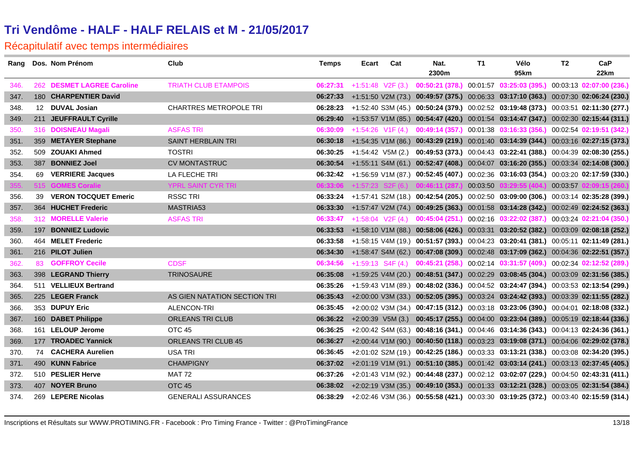|      | Rang Dos. Nom Prénom       | Club                          | <b>Temps</b> | Ecart | Cat | Nat.<br>2300m                                         | T1 | Vélo<br>95km                                                                                             | T2 | CaP<br>22km              |
|------|----------------------------|-------------------------------|--------------|-------|-----|-------------------------------------------------------|----|----------------------------------------------------------------------------------------------------------|----|--------------------------|
| 346. | 262 DESMET LAGREE Caroline | <b>TRIATH CLUB ETAMPOIS</b>   | 06:27:31     |       |     |                                                       |    | +1:51:48 V2F (3.) 00:50:21 (378.) 00:01:57 03:25:03 (395.) 00:03:13 02:07:00 (236.)                      |    |                          |
| 347. | 180 CHARPENTIER David      |                               |              |       |     |                                                       |    | 06:27:33 +1:51:50 V2M (73.) 00:49:57 (375.) 00:06:33 03:17:10 (363.) 00:07:30 02:06:24 (230.)            |    |                          |
| 348. | 12 DUVAL Josian            | <b>CHARTRES METROPOLE TRI</b> | 06:28:23     |       |     |                                                       |    | +1:52:40 S3M (45.) 00:50:24 (379.) 00:02:52 03:19:48 (373.) 00:03:51 02:11:30 (277.)                     |    |                          |
| 349. | 211 JEUFFRAULT Cyrille     |                               | 06:29:40     |       |     |                                                       |    | +1:53:57 V1M (85.) 00:54:47 (420.) 00:01:54 03:14:47 (347.) 00:02:30 02:15:44 (311.)                     |    |                          |
| 350. | 316 DOISNEAU Magali        | <b>ASFAS TRI</b>              | 06:30:09     |       |     |                                                       |    | +1:54:26 V1F (4.) 00:49:14 (357.) 00:01:38 03:16:33 (356.) 00:02:54 02:19:51 (342.)                      |    |                          |
| 351. | 359 METAYER Stephane       | SAINT HERBLAIN TRI            |              |       |     |                                                       |    | 06:30:18 +1:54:35 V1M (86.) 00:43:29 (219.) 00:01:40 03:14:39 (344.) 00:03:16 02:27:15 (373.)            |    |                          |
| 352. | 509 ZOUAKI Ahmed           | <b>TOSTRI</b>                 |              |       |     |                                                       |    | 06:30:25 +1:54:42 V5M (2.) 00:49:53 (373.) 00:04:43 03:22:41 (388.) 00:04:39 02:08:30 (255.)             |    |                          |
| 353. | 387 BONNIEZ Joel           | <b>CV MONTASTRUC</b>          |              |       |     |                                                       |    | 06:30:54 +1:55:11 S4M (61.) 00:52:47 (408.) 00:04:07 03:16:20 (355.) 00:03:34 02:14:08 (300.)            |    |                          |
| 354. | 69 VERRIERE Jacques        | LA FLECHE TRI                 |              |       |     |                                                       |    | 06:32:42 +1:56:59 V1M (87.) 00:52:45 (407.) 00:02:36 03:16:03 (354.) 00:03:20 02:17:59 (330.)            |    |                          |
| 355. | 515 GOMES Coralie          | YPRL SAINT CYR TRI            |              |       |     | $06:33:06$ +1:57:23 S2F (6.) 00:46:11 (287.) 00:03:50 |    | 03:29:55 (404.)                                                                                          |    | 00:03:57 02:09:15 (260.) |
| 356. | 39 VERON TOCQUET Emeric    | <b>RSSC TRI</b>               |              |       |     |                                                       |    | 06:33:24 +1:57:41 S2M (18.) 00:42:54 (205.) 00:02:50 03:09:00 (306.) 00:03:14 02:35:28 (399.)            |    |                          |
| 357. | 364 HUCHET Frederic        | MASTRIA53                     |              |       |     |                                                       |    | 06:33:30 +1:57:47 V2M (74.) 00:49:25 (363.) 00:01:58 03:14:28 (342.) 00:02:49 02:24:52 (363.)            |    |                          |
| 358. | 312 MORELLE Valerie        | <b>ASFAS TRI</b>              | 06:33:47     |       |     |                                                       |    | +1:58:04 V2F (4.) 00:45:04 (251.) 00:02:16 03:22:02 (387.) 00:03:24 02:21:04 (350.)                      |    |                          |
| 359. | 197 BONNIEZ Ludovic        |                               | 06:33:53     |       |     |                                                       |    | +1:58:10 V1M (88.) 00:58:06 (426.) 00:03:31 03:20:52 (382.) 00:03:09 02:08:18 (252.)                     |    |                          |
| 360. | 464 MELET Frederic         |                               |              |       |     |                                                       |    | 06:33:58 +1:58:15 V4M (19.) 00:51:57 (393.) 00:04:23 03:20:41 (381.) 00:05:11 02:11:49 (281.)            |    |                          |
| 361. | 216 PILOT Julien           |                               |              |       |     |                                                       |    | 06:34:30 +1:58:47 S4M (62.) 00:47:08 (309.) 00:02:48 03:17:09 (362.) 00:04:36 02:22:51 (357.)            |    |                          |
| 362. | 83 <b>GOFFROY Cecile</b>   | <b>CDSF</b>                   | 06:34:56     |       |     |                                                       |    | +1:59:13 S4F (4.) <b>00:45:21 (258.)</b> 00:02:14 <b>03:31:57 (409.)</b> 00:02:34 <b>02:12:52 (289.)</b> |    |                          |
| 363. | 398 LEGRAND Thierry        | <b>TRINOSAURE</b>             | 06:35:08     |       |     |                                                       |    | +1:59:25 V4M (20.) 00:48:51 (347.) 00:02:29 03:08:45 (304.) 00:03:09 02:31:56 (385.)                     |    |                          |
| 364. | 511 VELLIEUX Bertrand      |                               | 06:35:26     |       |     |                                                       |    | +1:59:43 V1M (89.) 00:48:02 (336.) 00:04:52 03:24:47 (394.) 00:03:53 02:13:54 (299.)                     |    |                          |
| 365. | 225 LEGER Franck           | AS GIEN NATATION SECTION TRI  | 06:35:43     |       |     |                                                       |    | +2:00:00 V3M (33.) 00:52:05 (395.) 00:03:24 03:24:42 (393.) 00:03:39 02:11:55 (282.)                     |    |                          |
| 366. | 353 DUPUY Eric             | ALENCON-TRI                   | 06:35:45     |       |     |                                                       |    | $+2:00:02$ V3M (34.) 00:47:15 (312.) 00:03:18 03:23:06 (390.) 00:04:01 02:18:08 (332.)                   |    |                          |
| 367. | 160 DABET Philippe         | <b>ORLEANS TRI CLUB</b>       |              |       |     |                                                       |    | 06:36:22 +2:00:39 V5M (3.) 00:45:17 (255.) 00:04:00 03:23:04 (389.) 00:05:19 02:18:44 (336.)             |    |                          |
| 368. | 161 LELOUP Jerome          | OTC 45                        | 06:36:25     |       |     |                                                       |    | +2:00:42 S4M (63.) 00:48:16 (341.) 00:04:46 03:14:36 (343.) 00:04:13 02:24:36 (361.)                     |    |                          |
| 369. | 177 TROADEC Yannick        | ORLEANS TRI CLUB 45           |              |       |     |                                                       |    | 06:36:27 +2:00:44 V1M (90.) 00:40:50 (118.) 00:03:23 03:19:08 (371.) 00:04:06 02:29:02 (378.)            |    |                          |
| 370. | 74 CACHERA Aurelien        | <b>USA TRI</b>                | 06:36:45     |       |     |                                                       |    | +2:01:02 S2M (19.) 00:42:25 (186.) 00:03:33 03:13:21 (338.) 00:03:08 02:34:20 (395.)                     |    |                          |
| 371. | 490 KUNN Fabrice           | <b>CHAMPIGNY</b>              |              |       |     |                                                       |    | 06:37:02 +2:01:19 V1M (91.) 00:51:10 (385.) 00:01:42 03:03:14 (241.) 00:03:13 02:37:45 (405.)            |    |                          |
| 372. | 510 PESLIER Herve          | <b>MAT 72</b>                 | 06:37:26     |       |     |                                                       |    | +2:01:43 V1M (92.) 00:44:48 (237.) 00:02:12 03:02:07 (229.) 00:04:50 02:43:31 (411.)                     |    |                          |
| 373. | 407 NOYER Bruno            | OTC <sub>45</sub>             |              |       |     |                                                       |    | 06:38:02 +2:02:19 V3M (35.) 00:49:10 (353.) 00:01:33 03:12:21 (328.) 00:03:05 02:31:54 (384.)            |    |                          |
| 374. | 269 LEPERE Nicolas         | <b>GENERALI ASSURANCES</b>    |              |       |     |                                                       |    | 06:38:29 +2:02:46 V3M (36.) 00:55:58 (421.) 00:03:30 03:19:25 (372.) 00:03:40 02:15:59 (314.)            |    |                          |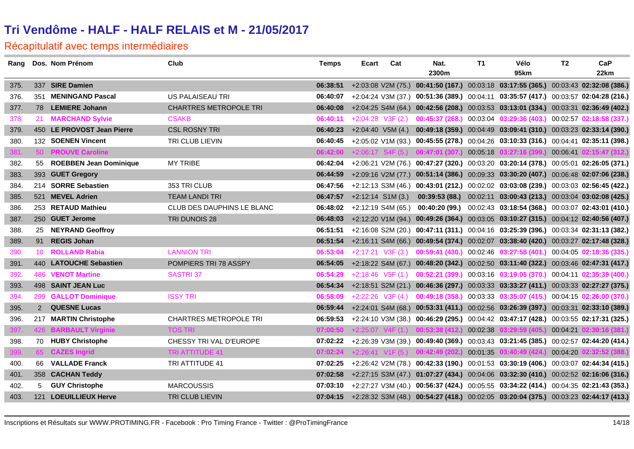| Rang |     | Dos. Nom Prénom            | <b>Club</b>                   | <b>Temps</b> | Ecart | Cat                  | Nat.                                         | T1       | Vélo                                                                                          | T2       | CaP                      |
|------|-----|----------------------------|-------------------------------|--------------|-------|----------------------|----------------------------------------------|----------|-----------------------------------------------------------------------------------------------|----------|--------------------------|
|      |     |                            |                               |              |       |                      | 2300m                                        |          | 95km                                                                                          |          | 22km                     |
| 375. |     | 337 SIRE Damien            |                               | 06:38:51     |       |                      |                                              |          | +2:03:08 V2M (75.) 00:41:50 (167.) 00:03:18 03:17:55 (365.) 00:03:43 02:32:08 (386.)          |          |                          |
| 376. | 351 | <b>MENINGAND Pascal</b>    | US PALAISEAU TRI              | 06:40:07     |       |                      |                                              |          | +2:04:24 V3M (37.) 00:51:36 (389.) 00:04:11 03:35:57 (417.) 00:03:57 02:04:28 (216.)          |          |                          |
| 377. |     | 78 LEMIERE Johann          | <b>CHARTRES METROPOLE TRI</b> |              |       |                      |                                              |          | 06:40:08 +2:04:25 S4M (64.) 00:42:56 (208.) 00:03:53 03:13:01 (334.) 00:03:31 02:36:49 (402.) |          |                          |
| 378. |     | 21 MARCHAND Sylvie         | <b>CSAKB</b>                  | 06:40:11     |       | $+2:04:28$ V3F (2.)  |                                              |          | 00:45:37 (268.) 00:03:04 03:29:36 (403.) 00:02:57 02:18:58 (337.)                             |          |                          |
| 379. |     | 450 LE PROVOST Jean Pierre | <b>CSL ROSNY TRI</b>          | 06:40:23     |       |                      |                                              |          | +2:04:40 V5M (4.) 00:49:18 (359.) 00:04:49 03:09:41 (310.) 00:03:23 02:33:14 (390.)           |          |                          |
| 380. |     | 132 SOENEN Vincent         | TRI CLUB LIEVIN               | 06:40:45     |       |                      |                                              |          | +2:05:02 V1M (93.) 00:45:55 (278.) 00:04:26 03:10:33 (316.) 00:04:41 02:35:11 (398.)          |          |                          |
| 381. |     | 50 PROUVE Caroline         |                               |              |       |                      | $06:42:00$ +2:06:17 S4F (5.) 00:47:01 (307.) | 00:05:18 | 03:27:16(399.)                                                                                |          | 00:06:41 02:15:47 (312.) |
| 382. |     | 55 ROEBBEN Jean Dominique  | <b>MY TRIBE</b>               | 06:42:04     |       |                      |                                              |          | +2:06:21 V2M (76.) 00:47:27 (320.) 00:03:20 03:20:14 (378.) 00:05:01 02:26:05 (371.)          |          |                          |
| 383. |     | 393 GUET Gregory           |                               | 06:44:59     |       |                      |                                              |          | +2:09:16 V2M (77.) 00:51:14 (386.) 00:09:33 03:30:20 (407.) 00:06:48 02:07:06 (238.)          |          |                          |
| 384. |     | 214 SORRE Sebastien        | 353 TRI CLUB                  | 06:47:56     |       |                      |                                              |          | +2:12:13 S3M (46.) 00:43:01 (212.) 00:02:02 03:03:08 (239.) 00:03:03 02:56:45 (422.)          |          |                          |
| 385. |     | 521 MEVEL Adrien           | <b>TEAM LANDI TRI</b>         | 06:47:57     |       | $+2:12:14$ S1M (3.)  |                                              |          | 00:39:53 (88.) 00:02:11 03:00:43 (213.) 00:03:04 03:02:08 (425.)                              |          |                          |
| 386. |     | 253 RETAUD Mathieu         | CLUB DES DAUPHINS LE BLANC    | 06:48:02     |       | $+2:12:19$ S4M (65.) |                                              |          | 00:40:20 (99.) 00:02:43 03:18:54 (368.) 00:03:07 02:43:01 (410.)                              |          |                          |
| 387. |     | 250 GUET Jerome            | TRI DUNOIS 28                 | 06:48:03     |       |                      |                                              |          | +2:12:20 V1M (94.) 00:49:26 (364.) 00:03:05 03:10:27 (315.) 00:04:12 02:40:56 (407.)          |          |                          |
| 388. |     | 25 NEYRAND Geoffroy        |                               | 06:51:51     |       |                      |                                              |          | +2:16:08 S2M (20.) 00:47:11 (311.) 00:04:16 03:25:39 (396.) 00:03:34 02:31:13 (382.)          |          |                          |
| 389. |     | 91 REGIS Johan             |                               | 06:51:54     |       |                      |                                              |          | +2:16:11 S4M (66.) 00:49:54 (374.) 00:02:07 03:38:40 (420.) 00:03:27 02:17:48 (328.)          |          |                          |
| 390. |     | 10 ROLLAND Rabia           | <b>LANNION TRI</b>            | 06:53:04     |       | $+2:17:21$ V3F (3.)  |                                              |          | 00:59:41 (430.) 00:02:46 03:27:58 (401.) 00:04:05 02:18:36 (335.)                             |          |                          |
| 391. |     | 440 LATOUCHE Sebastien     | POMPIERS TRI 78 ASSPY         |              |       |                      |                                              |          | 06:54:05 +2:18:22 S4M (67.) 00:48:20 (342.) 00:02:50 03:11:40 (322.) 00:03:46 02:47:31 (417.) |          |                          |
| 392. |     | <b>486 VENOT Martine</b>   | <b>SASTRI37</b>               | 06:54:29     |       |                      |                                              |          | +2:18:46 V5F (1.) 00:52:21 (399.) 00:03:16 03:19:05 (370.) 00:04:11 02:35:39 (400.)           |          |                          |
| 393. |     | 498 SAINT JEAN Luc         |                               | 06:54:34     |       |                      |                                              |          | +2:18:51 S2M (21.) 00:46:36 (297.) 00:03:33 03:33:27 (411.) 00:03:33 02:27:27 (375.)          |          |                          |
| 394. |     | 299 GALLOT Dominique       | <b>ISSY TRI</b>               | 06:58:09     |       |                      |                                              |          | +2:22:26 V3F (4.) 00:49:18 (358.) 00:03:33 03:35:07 (415.) 00:04:15 02:26:00 (370.)           |          |                          |
| 395. |     | 2 QUESNE Lucas             |                               | 06:59:44     |       |                      |                                              |          | +2:24:01 S4M (68.) 00:53:31 (411.) 00:02:56 03:26:39 (397.) 00:03:31 02:33:10 (389.)          |          |                          |
| 396. |     | 217 MARTIN Christophe      | <b>CHARTRES METROPOLE TRI</b> | 06:59:53     |       |                      |                                              |          | +2:24:10 V3M (38.) 00:46:29 (295.) 00:04:42 03:47:17 (428.) 00:03:55 02:17:31 (325.)          |          |                          |
| 397  |     | 426 BARBAULT Virginie      | <b>TOS TRI</b>                | 07:00:50     |       |                      | +2:25:07 V4F (1.) 00:53:38 (412.)            | 00:02:38 | 03:29:59 (405.)                                                                               |          | 00:04:21 02:30:16 (381.) |
| 398. |     | 70 HUBY Christophe         | CHESSY TRI VAL D'EUROPE       | 07:02:22     |       |                      |                                              |          | +2:26:39 V3M (39.) 00:49:40 (369.) 00:03:43 03:21:45 (385.) 00:02:57 02:44:20 (414.)          |          |                          |
| 399  |     | 65 CAZES Ingrid            | TRI ATTITUDE 41               |              |       |                      | $07:02:24$ +2:26:41 V1F (5.) 00:42:49 (202.) | 00:01:35 | 03:40:49 (424.)                                                                               | 00:04:20 | 02:32:52 (388.)          |
| 400. |     | 66 VALLADE Franck          | TRI ATTITUDE 41               | 07:02:25     |       |                      |                                              |          | +2:26:42 V2M (78.) 00:42:33 (190.) 00:01:53 03:30:19 (406.) 00:03:07 02:44:34 (415.)          |          |                          |
| 401. |     | 358 CACHAN Teddy           |                               |              |       |                      |                                              |          | 07:02:58 +2:27:15 S3M (47.) 01:07:27 (434.) 00:04:06 03:32:30 (410.) 00:02:52 02:16:06 (316.) |          |                          |
| 402. | 5   | <b>GUY Christophe</b>      | <b>MARCOUSSIS</b>             | 07:03:10     |       |                      |                                              |          | +2:27:27 V3M (40.) 00:56:37 (424.) 00:05:55 03:34:22 (414.) 00:04:35 02:21:43 (353.)          |          |                          |
| 403. |     | 121 LOEUILLIEUX Herve      | TRI CLUB LIEVIN               |              |       |                      |                                              |          | 07:04:15 +2:28:32 S3M (48.) 00:54:27 (418.) 00:02:05 03:20:04 (375.) 00:03:23 02:44:17 (413.) |          |                          |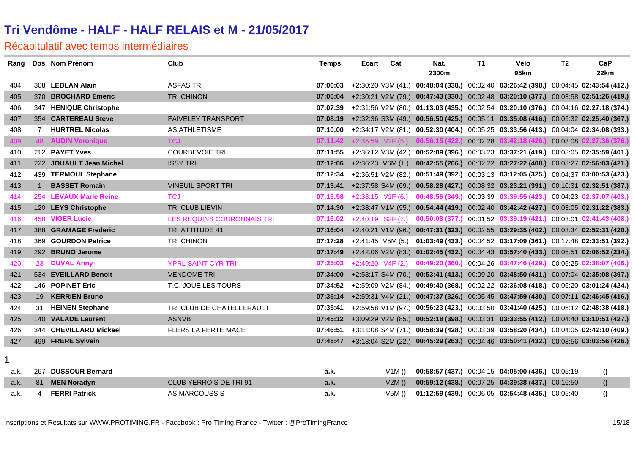| Rang |                | Dos. Nom Prénom           | Club                       | <b>Temps</b> | <b>Ecart</b> | Cat                 | Nat.<br>2300m                                | T1       | Vélo<br>95km                                                                                  | T <sub>2</sub> | CaP<br>22km      |
|------|----------------|---------------------------|----------------------------|--------------|--------------|---------------------|----------------------------------------------|----------|-----------------------------------------------------------------------------------------------|----------------|------------------|
| 404. |                | 308 LEBLAN Alain          | <b>ASFAS TRI</b>           | 07:06:03     |              |                     |                                              |          | +2:30:20 V3M (41.) 00:48:04 (338.) 00:02:40 03:26:42 (398.) 00:04:45 02:43:54 (412.)          |                |                  |
| 405. |                | 370 BROCHARD Emeric       | <b>TRI CHINON</b>          | 07:06:04     |              |                     |                                              |          | +2:30:21 V2M (79.) 00:47:43 (330.) 00:02:48 03:20:10 (377.) 00:03:58 02:51:26 (419.)          |                |                  |
| 406. |                | 347 HENIQUE Christophe    |                            | 07:07:39     |              |                     |                                              |          | +2:31:56 V2M (80.) 01:13:03 (435.) 00:02:54 03:20:10 (376.) 00:04:16 02:27:18 (374.)          |                |                  |
| 407. |                | 354 CARTEREAU Steve       | <b>FAIVELEY TRANSPORT</b>  | 07:08:19     |              |                     |                                              |          | +2:32:36 S3M (49.) 00:56:50 (425.) 00:05:11 03:35:08 (416.) 00:05:32 02:25:40 (367.)          |                |                  |
| 408. | $\overline{7}$ | <b>HURTREL Nicolas</b>    | AS ATHLETISME              | 07:10:00     |              |                     |                                              |          | +2:34:17 V2M (81.) 00:52:30 (404.) 00:05:25 03:33:56 (413.) 00:04:04 02:34:08 (393.)          |                |                  |
| 409  |                | <b>48 AUDIN Veronique</b> | <b>TCJ</b>                 |              |              |                     | $07:11:42$ +2:35:59 V2F (5.) 00:56:15 (422.) | 00:02:28 | 03:42:18 (426.)                                                                               | 00:03:08       | 2:27:36 (376.)   |
| 410. |                | 212 PAYET Yves            | <b>COURBEVOIE TRI</b>      | 07:11:55     |              |                     |                                              |          | +2:36:12 V3M (42.) 00:52:09 (396.) 00:03:23 03:37:21 (419.) 00:03:05 02:35:59 (401.)          |                |                  |
| 411. |                | 222 JOUAULT Jean Michel   | <b>ISSY TRI</b>            | 07:12:06     |              | $+2:36:23$ V6M (1.) |                                              |          | 00:42:55 (206.) 00:02:22 03:27:22 (400.) 00:03:27 02:56:03 (421.)                             |                |                  |
| 412. |                | 439 TERMOUL Stephane      |                            | 07:12:34     |              |                     |                                              |          | +2:36:51 V2M (82.) 00:51:49 (392.) 00:03:13 03:12:05 (325.) 00:04:37 03:00:53 (423.)          |                |                  |
| 413. | $\mathbf{1}$   | <b>BASSET Romain</b>      | <b>VINEUIL SPORT TRI</b>   | 07:13:41     |              |                     |                                              |          | +2:37:58 S4M (69.) 00:58:28 (427.) 00:08:32 03:23:21 (391.) 00:10:31 02:32:51 (387.)          |                |                  |
| 414. |                | 254 LEVAUX Marie Reine    | TCJ                        | 07:13:58     |              | $+2:38:15$ V1F (6.) |                                              |          | $0.48:56(349)$ $0.03:39$ $0.339:55(423)$ $0.04:23$ $0.37:07(403)$                             |                |                  |
| 415. |                | 120 LEYS Christophe       | TRI CLUB LIEVIN            | 07:14:30     |              |                     |                                              |          | +2:38:47 V1M (95.) 00:54:44 (419.) 00:02:40 03:42:42 (427.) 00:03:05 02:31:22 (383.)          |                |                  |
| 416. |                | <b>458 VIGER Lucie</b>    | LES REQUINS COURONNAIS TRI | 07:16:02     |              | $+2:40:19$ S2F (7.) |                                              |          | 00:50:08 (377.) 00:01:52 03:39:19 (421.) 00:03:01 02:41:43 (408.)                             |                |                  |
| 417. |                | 388 GRAMAGE Frederic      | <b>TRI ATTITUDE 41</b>     | 07:16:04     |              |                     |                                              |          | +2:40:21 V1M (96.) 00:47:31 (323.) 00:02:55 03:29:35 (402.) 00:03:34 02:52:31 (420.)          |                |                  |
| 418. |                | 369 GOURDON Patrice       | <b>TRI CHINON</b>          | 07:17:28     |              | +2:41:45 V5M (5.)   |                                              |          | 01:03:49 (433.) 00:04:52 03:17:09 (361.) 00:17:48 02:33:51 (392.)                             |                |                  |
| 419. |                | 292 BRUNO Jerome          |                            | 07:17:49     |              |                     |                                              |          | +2:42:06 V2M (83.) 01:02:45 (432.) 00:04:43 03:57:40 (433.) 00:05:51 02:06:52 (234.)          |                |                  |
| 420. | 23             | <b>DUVAL Anny</b>         | <b>YPRL SAINT CYR TRI</b>  | 07:25:03     |              |                     |                                              |          | +2:49:20 V4F (2.) 00:49:20 (360.) 00:04:26 03:47:46 (429.) 00:05:25 02:38:07 (406.)           |                |                  |
| 421. |                | 534 EVEILLARD Benoit      | <b>VENDOME TRI</b>         | 07:34:00     |              |                     |                                              |          | +2:58:17 S4M (70.) 00:53:41 (413.) 00:09:20 03:48:50 (431.) 00:07:04 02:35:08 (397.)          |                |                  |
| 422. |                | 146 POPINET Eric          | T.C. JOUE LES TOURS        | 07:34:52     |              |                     |                                              |          | +2:59:09 V2M (84.) 00:49:40 (368.) 00:02:22 03:36:08 (418.) 00:05:20 03:01:24 (424.)          |                |                  |
| 423. | 19             | <b>KERRIEN Bruno</b>      |                            | 07:35:14     |              |                     |                                              |          | +2:59:31 V4M (21.) 00:47:37 (326.) 00:05:45 03:47:59 (430.) 00:07:11 02:46:45 (416.)          |                |                  |
| 424. |                | 31 HEINEN Stephane        | TRI CLUB DE CHATELLERAULT  | 07:35:41     |              |                     |                                              |          | +2:59:58 V1M (97.) 00:56:23 (423.) 00:03:50 03:41:40 (425.) 00:05:12 02:48:38 (418.)          |                |                  |
| 425. |                | 140 VALADE Laurent        | <b>ASNVB</b>               |              |              |                     |                                              |          | 07:45:12 +3:09:29 V2M (85.) 00:52:18 (398.) 00:03:31 03:33:55 (412.) 00:04:40 03:10:51 (427.) |                |                  |
| 426. |                | 344 CHEVILLARD Mickael    | FLERS LA FERTE MACE        | 07:46:51     |              |                     |                                              |          | +3:11:08 S4M (71.) 00:58:39 (428.) 00:03:39 03:58:20 (434.) 00:04:05 02:42:10 (409.)          |                |                  |
| 427. |                | 499 FRERE Sylvain         |                            | 07:48:47     |              |                     |                                              |          | +3:13:04 S2M (22.) 00:45:29 (263.) 00:04:46 03:50:41 (432.) 00:03:56 03:03:56 (426.)          |                |                  |
|      |                |                           |                            |              |              |                     |                                              |          |                                                                                               |                |                  |
| a.k. | 267            | <b>DUSSOUR Bernard</b>    |                            | a.k.         |              | V1M()               |                                              |          | 00:58:57 (437.) 00:04:15 04:05:00 (436.) 00:05:19                                             |                | $\boldsymbol{0}$ |
| a.k. | 81             | <b>MEN Noradyn</b>        | CLUB YERROIS DE TRI 91     | a.k.         |              | V2M()               |                                              |          | 00:59:12 (438.) 00:07:25 04:39:38 (437.) 00:16:50                                             |                | $\Omega$         |
| a.k. | 4              | <b>FERRI Patrick</b>      | AS MARCOUSSIS              | a.k.         |              | V5M()               |                                              |          | 01:12:59 (439.) 00:06:05 03:54:48 (435.) 00:05:40                                             |                | $\theta$         |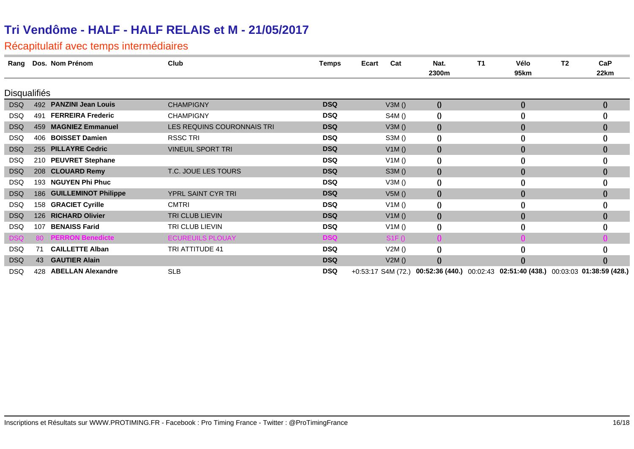| Rang                |           | Dos. Nom Prénom          | Club                       | <b>Temps</b> | Ecart<br>Cat | Nat.<br>2300m                                                                        | T1 | Vélo<br>95km     | T <sub>2</sub> | CaP<br>22km      |
|---------------------|-----------|--------------------------|----------------------------|--------------|--------------|--------------------------------------------------------------------------------------|----|------------------|----------------|------------------|
| <b>Disqualifiés</b> |           |                          |                            |              |              |                                                                                      |    |                  |                |                  |
| <b>DSQ</b>          |           | 492 PANZINI Jean Louis   | <b>CHAMPIGNY</b>           | <b>DSQ</b>   | V3M()        | $\boldsymbol{0}$                                                                     |    | $\boldsymbol{0}$ |                | $\bf{0}$         |
| <b>DSQ</b>          | 491       | <b>FERREIRA Frederic</b> | <b>CHAMPIGNY</b>           | <b>DSQ</b>   | S4M()        | $\boldsymbol{0}$                                                                     |    | $\boldsymbol{0}$ |                | 0                |
| <b>DSQ</b>          | 459       | <b>MAGNIEZ Emmanuel</b>  | LES REQUINS COURONNAIS TRI | <b>DSQ</b>   | V3M()        | $\boldsymbol{0}$                                                                     |    | $\boldsymbol{0}$ |                | $\boldsymbol{0}$ |
| <b>DSQ</b>          | 406       | <b>BOISSET Damien</b>    | <b>RSSC TRI</b>            | <b>DSQ</b>   | S3M()        | $\boldsymbol{0}$                                                                     |    | 0                |                | $\bf{0}$         |
| <b>DSQ</b>          |           | 255 PILLAYRE Cedric      | <b>VINEUIL SPORT TRI</b>   | <b>DSQ</b>   | V1M()        | $\boldsymbol{0}$                                                                     |    | $\boldsymbol{0}$ |                | $\boldsymbol{0}$ |
| <b>DSQ</b>          |           | 210 PEUVRET Stephane     |                            | <b>DSQ</b>   | V1M()        | $\boldsymbol{0}$                                                                     |    | $\boldsymbol{0}$ |                | 0                |
| <b>DSQ</b>          |           | 208 CLOUARD Remy         | T.C. JOUE LES TOURS        | <b>DSQ</b>   | S3M()        | $\boldsymbol{0}$                                                                     |    | $\boldsymbol{0}$ |                | $\mathbf{0}$     |
| <b>DSQ</b>          | 193       | <b>NGUYEN Phi Phuc</b>   |                            | <b>DSQ</b>   | V3M()        | $\boldsymbol{0}$                                                                     |    | $\bf{0}$         |                | $\bf{0}$         |
| <b>DSQ</b>          |           | 186 GUILLEMINOT Philippe | YPRL SAINT CYR TRI         | <b>DSQ</b>   | V5M()        | $\boldsymbol{\theta}$                                                                |    | $\boldsymbol{0}$ |                | $\boldsymbol{0}$ |
| <b>DSQ</b>          | 158       | <b>GRACIET Cyrille</b>   | <b>CMTRI</b>               | <b>DSQ</b>   | V1M()        | $\boldsymbol{0}$                                                                     |    | $\theta$         |                | $\bf{0}$         |
| <b>DSQ</b>          |           | 126 RICHARD Olivier      | TRI CLUB LIEVIN            | <b>DSQ</b>   | V1M()        | $\boldsymbol{0}$                                                                     |    | $\boldsymbol{0}$ |                | $\bf{0}$         |
| <b>DSQ</b>          | 107       | <b>BENAISS Farid</b>     | TRI CLUB LIEVIN            | <b>DSQ</b>   | V1M()        | $\boldsymbol{0}$                                                                     |    | $\boldsymbol{0}$ |                | $\bf{0}$         |
| DSQ                 | <b>80</b> | <b>PERRON Benedicte</b>  | <b>ECUREUILS PLOUAY</b>    | <b>DSQ</b>   | S1F()        |                                                                                      |    |                  |                |                  |
| <b>DSQ</b>          | 71        | <b>CAILLETTE Alban</b>   | TRI ATTITUDE 41            | <b>DSQ</b>   | V2M()        | $\boldsymbol{0}$                                                                     |    | $\boldsymbol{0}$ |                | 0                |
| <b>DSQ</b>          | 43        | <b>GAUTIER Alain</b>     |                            | <b>DSQ</b>   | V2M()        | $\theta$                                                                             |    | $\bf{0}$         |                | $\bf{0}$         |
| DSQ                 | 428       | <b>ABELLAN Alexandre</b> | <b>SLB</b>                 | <b>DSQ</b>   |              | +0:53:17 S4M (72.) 00:52:36 (440.) 00:02:43 02:51:40 (438.) 00:03:03 01:38:59 (428.) |    |                  |                |                  |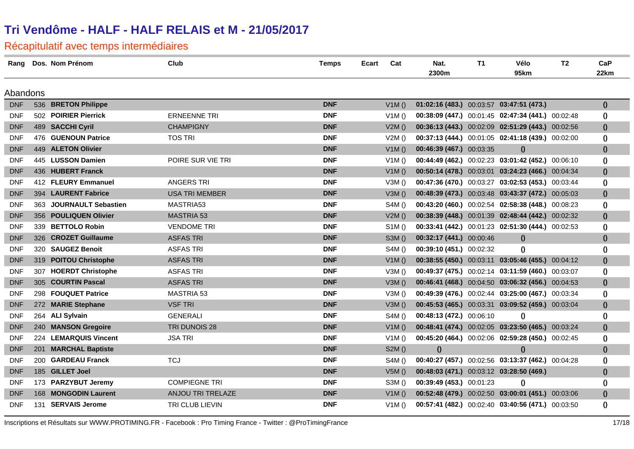#### Récapitulatif avec temps intermédiaires

| Rang       | Dos. Nom Prénom         | Club                     | <b>Temps</b> | Ecart | Cat   | Nat.                                     | T1 | Vélo                                              | T <sub>2</sub> | CaP                                  |
|------------|-------------------------|--------------------------|--------------|-------|-------|------------------------------------------|----|---------------------------------------------------|----------------|--------------------------------------|
|            |                         |                          |              |       |       | 2300m                                    |    | 95km                                              |                | 22km                                 |
| Abandons   |                         |                          |              |       |       |                                          |    |                                                   |                |                                      |
| <b>DNF</b> | 536 BRETON Philippe     |                          | <b>DNF</b>   |       | V1M() | 01:02:16 (483.) 00:03:57 03:47:51 (473.) |    |                                                   |                | $\theta$                             |
| <b>DNF</b> | 502 POIRIER Pierrick    | <b>ERNEENNE TRI</b>      | <b>DNF</b>   |       | V1M() |                                          |    | 00:38:09 (447.) 00:01:45 02:47:34 (441.) 00:02:48 |                | $\theta$                             |
| <b>DNF</b> | 489 SACCHI Cyril        | <b>CHAMPIGNY</b>         | <b>DNF</b>   |       | V2M() |                                          |    | 00:36:13 (443.) 00:02:09 02:51:29 (443.) 00:02:56 |                | $\boldsymbol{0}$                     |
| <b>DNF</b> | 476 GUENOUN Patrice     | <b>TOS TRI</b>           | <b>DNF</b>   |       | V2M() |                                          |    | 00:37:13 (444.) 00:01:05 02:41:18 (439.) 00:02:00 |                | $\theta$                             |
| <b>DNF</b> | 449 ALETON Olivier      |                          | <b>DNF</b>   |       | V1M() | 00:46:39 (467.) 00:03:35                 |    | $\Omega$                                          |                |                                      |
| <b>DNF</b> | 445 LUSSON Damien       | POIRE SUR VIE TRI        | <b>DNF</b>   |       | V1M() |                                          |    | 00:44:49 (462.) 00:02:23 03:01:42 (452.) 00:06:10 |                | $\boldsymbol{0}$<br>$\boldsymbol{0}$ |
| <b>DNF</b> | 436 HUBERT Franck       |                          | <b>DNF</b>   |       | V1M() |                                          |    | 00:50:14 (478.) 00:03:01 03:24:23 (466.) 00:04:34 |                | $\boldsymbol{0}$                     |
| <b>DNF</b> | 412 FLEURY Emmanuel     | <b>ANGERS TRI</b>        | <b>DNF</b>   |       | V3M() |                                          |    | 00:47:36 (470.) 00:03:27 03:02:53 (453.) 00:03:44 |                | $\bf{0}$                             |
| <b>DNF</b> | 394 LAURENT Fabrice     | <b>USA TRI MEMBER</b>    | <b>DNF</b>   |       | V3M() |                                          |    | 00:48:39 (473.) 00:03:48 03:43:37 (472.) 00:05:03 |                | $\boldsymbol{0}$                     |
| <b>DNF</b> | 363 JOURNAULT Sebastien | MASTRIA53                | <b>DNF</b>   |       | S4M() |                                          |    | 00:43:20 (460.) 00:02:54 02:58:38 (448.) 00:08:23 |                | $\theta$                             |
| <b>DNF</b> | 356 POULIQUEN Olivier   | <b>MASTRIA 53</b>        | <b>DNF</b>   |       | V2M() |                                          |    | 00:38:39 (448.) 00:01:39 02:48:44 (442.) 00:02:32 |                | $\boldsymbol{0}$                     |
| <b>DNF</b> | 339 BETTOLO Robin       | <b>VENDOME TRI</b>       | <b>DNF</b>   |       | S1M() |                                          |    | 00:33:41 (442.) 00:01:23 02:51:30 (444.) 00:02:53 |                | $\bf{0}$                             |
| <b>DNF</b> | 326 CROZET Guillaume    | <b>ASFAS TRI</b>         | <b>DNF</b>   |       | S3M() | 00:32:17 (441.) 00:00:46                 |    | $\mathbf{0}$                                      |                | $\boldsymbol{0}$                     |
| <b>DNF</b> | 320 SAUGEZ Benoit       | <b>ASFAS TRI</b>         | <b>DNF</b>   |       | S4M() | 00:39:10 (451.) 00:02:32                 |    | $\theta$                                          |                | $\boldsymbol{0}$                     |
| <b>DNF</b> | 319 POITOU Christophe   | <b>ASFAS TRI</b>         | <b>DNF</b>   |       | V1M() |                                          |    | 00:38:55 (450.) 00:03:11 03:05:46 (455.) 00:04:12 |                | $\boldsymbol{0}$                     |
| <b>DNF</b> | 307 HOERDT Christophe   | <b>ASFAS TRI</b>         | <b>DNF</b>   |       | V3M() |                                          |    | 00:49:37 (475.) 00:02:14 03:11:59 (460.) 00:03:07 |                | $\theta$                             |
| <b>DNF</b> | 305 COURTIN Pascal      | <b>ASFAS TRI</b>         | <b>DNF</b>   |       | V3M() |                                          |    | 00:46:41 (468.) 00:04:50 03:06:32 (456.) 00:04:53 |                | $\boldsymbol{0}$                     |
| <b>DNF</b> | 298 FOUQUET Patrice     | <b>MASTRIA 53</b>        | <b>DNF</b>   |       | V3M() |                                          |    | 00:49:39 (476.) 00:02:44 03:25:00 (467.) 00:03:34 |                | $\boldsymbol{0}$                     |
| <b>DNF</b> | 272 MARIE Stephane      | <b>VSF TRI</b>           | <b>DNF</b>   |       | V3M() |                                          |    | 00:45:53 (465.) 00:03:31 03:09:52 (459.) 00:03:04 |                | $\boldsymbol{0}$                     |
| <b>DNF</b> | 264 ALI Sylvain         | <b>GENERALI</b>          | <b>DNF</b>   |       | S4M() | 00:48:13 (472.) 00:06:10                 |    | $\Omega$                                          |                | $\boldsymbol{0}$                     |
| <b>DNF</b> | 240 MANSON Gregoire     | TRI DUNOIS 28            | <b>DNF</b>   |       | V1M() |                                          |    | 00:48:41 (474.) 00:02:05 03:23:50 (465.) 00:03:24 |                | $\boldsymbol{0}$                     |
| <b>DNF</b> | 224 LEMARQUIS Vincent   | <b>JSA TRI</b>           | <b>DNF</b>   |       | V1M() |                                          |    | 00:45:20 (464.) 00:02:06 02:59:28 (450.) 00:02:45 |                | $\bf{0}$                             |
| <b>DNF</b> | 201 MARCHAL Baptiste    |                          | <b>DNF</b>   |       | S2M() | $\theta$                                 |    | $\theta$                                          |                | $\boldsymbol{0}$                     |
| <b>DNF</b> | 200 GARDEAU Franck      | <b>TCJ</b>               | <b>DNF</b>   |       | S4M() |                                          |    | 00:40:27 (457.) 00:02:56 03:13:37 (462.) 00:04:28 |                | $\boldsymbol{0}$                     |
| <b>DNF</b> | 185 GILLET Joel         |                          | <b>DNF</b>   |       | V5M() | 00:48:03 (471.) 00:03:12 03:28:50 (469.) |    |                                                   |                | $\boldsymbol{0}$                     |
| <b>DNF</b> | 173 PARZYBUT Jeremy     | <b>COMPIEGNE TRI</b>     | <b>DNF</b>   |       | S3M() | 00:39:49 (453.) 00:01:23                 |    | $\Omega$                                          |                | $\boldsymbol{0}$                     |
| <b>DNF</b> | 168 MONGODIN Laurent    | <b>ANJOU TRI TRELAZE</b> | <b>DNF</b>   |       | V1M() |                                          |    | 00:52:48 (479.) 00:02:50 03:00:01 (451.) 00:03:06 |                | $\boldsymbol{0}$                     |
| <b>DNF</b> | 131 SERVAIS Jerome      | TRI CLUB LIEVIN          | <b>DNF</b>   |       | V1M() |                                          |    | 00:57:41 (482.) 00:02:40 03:40:56 (471.) 00:03:50 |                | $\theta$                             |

Inscriptions et Résultats sur WWW.PROTIMING.FR - Facebook : Pro Timing France - Twitter : @ProTimingFrance 17/18